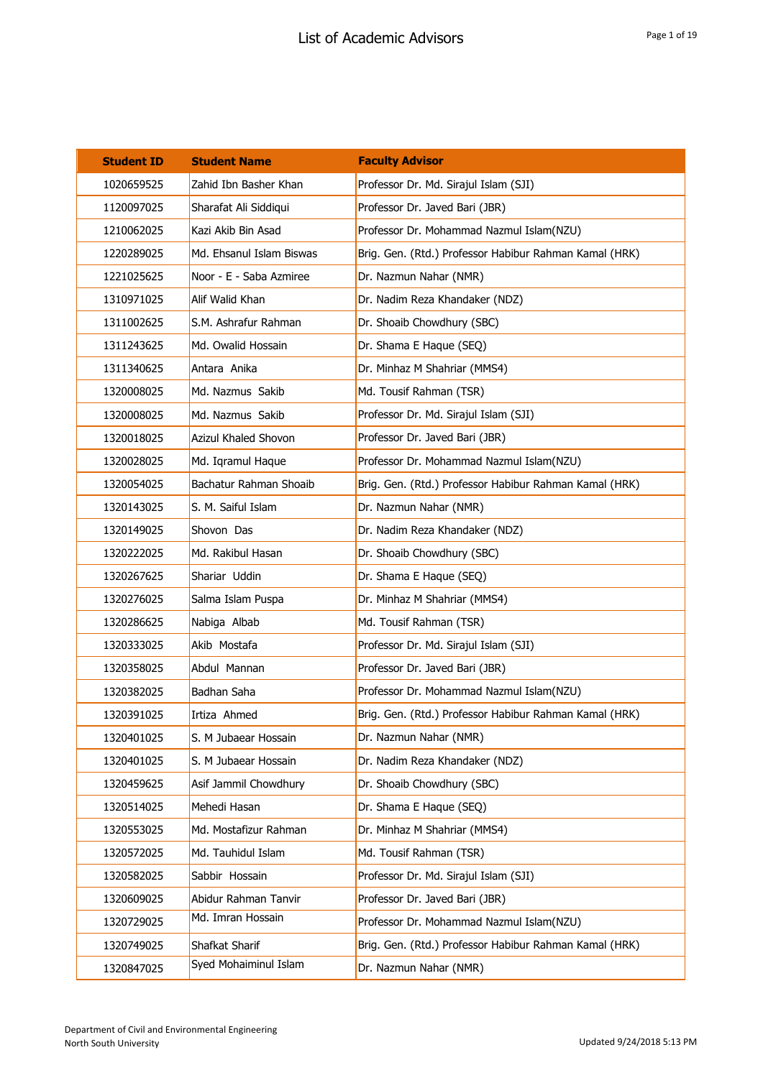| <b>Student ID</b> | <b>Student Name</b>      | <b>Faculty Advisor</b>                                 |
|-------------------|--------------------------|--------------------------------------------------------|
| 1020659525        | Zahid Ibn Basher Khan    | Professor Dr. Md. Sirajul Islam (SJI)                  |
| 1120097025        | Sharafat Ali Siddiqui    | Professor Dr. Javed Bari (JBR)                         |
| 1210062025        | Kazi Akib Bin Asad       | Professor Dr. Mohammad Nazmul Islam(NZU)               |
| 1220289025        | Md. Ehsanul Islam Biswas | Brig. Gen. (Rtd.) Professor Habibur Rahman Kamal (HRK) |
| 1221025625        | Noor - E - Saba Azmiree  | Dr. Nazmun Nahar (NMR)                                 |
| 1310971025        | Alif Walid Khan          | Dr. Nadim Reza Khandaker (NDZ)                         |
| 1311002625        | S.M. Ashrafur Rahman     | Dr. Shoaib Chowdhury (SBC)                             |
| 1311243625        | Md. Owalid Hossain       | Dr. Shama E Haque (SEQ)                                |
| 1311340625        | Antara Anika             | Dr. Minhaz M Shahriar (MMS4)                           |
| 1320008025        | Md. Nazmus Sakib         | Md. Tousif Rahman (TSR)                                |
| 1320008025        | Md. Nazmus Sakib         | Professor Dr. Md. Sirajul Islam (SJI)                  |
| 1320018025        | Azizul Khaled Shovon     | Professor Dr. Javed Bari (JBR)                         |
| 1320028025        | Md. Iqramul Haque        | Professor Dr. Mohammad Nazmul Islam(NZU)               |
| 1320054025        | Bachatur Rahman Shoaib   | Brig. Gen. (Rtd.) Professor Habibur Rahman Kamal (HRK) |
| 1320143025        | S. M. Saiful Islam       | Dr. Nazmun Nahar (NMR)                                 |
| 1320149025        | Shovon Das               | Dr. Nadim Reza Khandaker (NDZ)                         |
| 1320222025        | Md. Rakibul Hasan        | Dr. Shoaib Chowdhury (SBC)                             |
| 1320267625        | Shariar Uddin            | Dr. Shama E Haque (SEQ)                                |
| 1320276025        | Salma Islam Puspa        | Dr. Minhaz M Shahriar (MMS4)                           |
| 1320286625        | Nabiga Albab             | Md. Tousif Rahman (TSR)                                |
| 1320333025        | Akib Mostafa             | Professor Dr. Md. Sirajul Islam (SJI)                  |
| 1320358025        | Abdul Mannan             | Professor Dr. Javed Bari (JBR)                         |
| 1320382025        | Badhan Saha              | Professor Dr. Mohammad Nazmul Islam(NZU)               |
| 1320391025        | Irtiza Ahmed             | Brig. Gen. (Rtd.) Professor Habibur Rahman Kamal (HRK) |
| 1320401025        | S. M Jubaear Hossain     | Dr. Nazmun Nahar (NMR)                                 |
| 1320401025        | S. M Jubaear Hossain     | Dr. Nadim Reza Khandaker (NDZ)                         |
| 1320459625        | Asif Jammil Chowdhury    | Dr. Shoaib Chowdhury (SBC)                             |
| 1320514025        | Mehedi Hasan             | Dr. Shama E Haque (SEQ)                                |
| 1320553025        | Md. Mostafizur Rahman    | Dr. Minhaz M Shahriar (MMS4)                           |
| 1320572025        | Md. Tauhidul Islam       | Md. Tousif Rahman (TSR)                                |
| 1320582025        | Sabbir Hossain           | Professor Dr. Md. Sirajul Islam (SJI)                  |
| 1320609025        | Abidur Rahman Tanvir     | Professor Dr. Javed Bari (JBR)                         |
| 1320729025        | Md. Imran Hossain        | Professor Dr. Mohammad Nazmul Islam(NZU)               |
| 1320749025        | Shafkat Sharif           | Brig. Gen. (Rtd.) Professor Habibur Rahman Kamal (HRK) |
| 1320847025        | Syed Mohaiminul Islam    | Dr. Nazmun Nahar (NMR)                                 |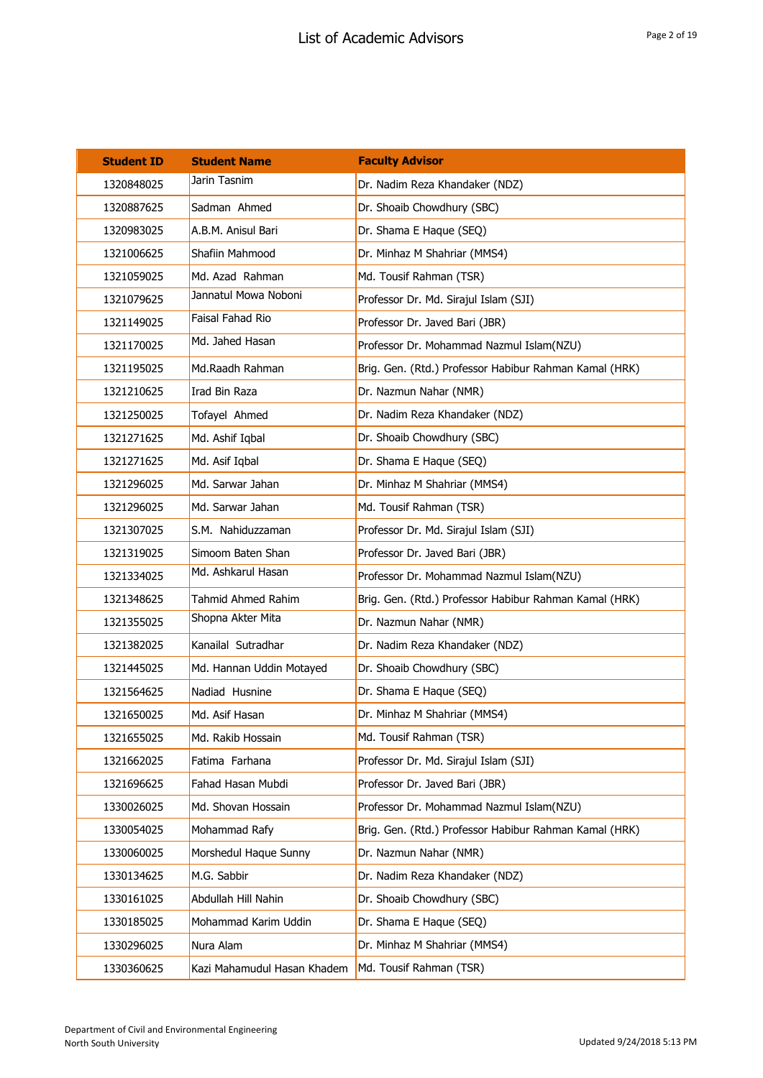| <b>Student ID</b> | <b>Student Name</b>         | <b>Faculty Advisor</b>                                 |
|-------------------|-----------------------------|--------------------------------------------------------|
| 1320848025        | Jarin Tasnim                | Dr. Nadim Reza Khandaker (NDZ)                         |
| 1320887625        | Sadman Ahmed                | Dr. Shoaib Chowdhury (SBC)                             |
| 1320983025        | A.B.M. Anisul Bari          | Dr. Shama E Haque (SEQ)                                |
| 1321006625        | Shafiin Mahmood             | Dr. Minhaz M Shahriar (MMS4)                           |
| 1321059025        | Md. Azad Rahman             | Md. Tousif Rahman (TSR)                                |
| 1321079625        | Jannatul Mowa Noboni        | Professor Dr. Md. Sirajul Islam (SJI)                  |
| 1321149025        | Faisal Fahad Rio            | Professor Dr. Javed Bari (JBR)                         |
| 1321170025        | Md. Jahed Hasan             | Professor Dr. Mohammad Nazmul Islam(NZU)               |
| 1321195025        | Md.Raadh Rahman             | Brig. Gen. (Rtd.) Professor Habibur Rahman Kamal (HRK) |
| 1321210625        | Irad Bin Raza               | Dr. Nazmun Nahar (NMR)                                 |
| 1321250025        | Tofayel Ahmed               | Dr. Nadim Reza Khandaker (NDZ)                         |
| 1321271625        | Md. Ashif Iqbal             | Dr. Shoaib Chowdhury (SBC)                             |
| 1321271625        | Md. Asif Iqbal              | Dr. Shama E Haque (SEQ)                                |
| 1321296025        | Md. Sarwar Jahan            | Dr. Minhaz M Shahriar (MMS4)                           |
| 1321296025        | Md. Sarwar Jahan            | Md. Tousif Rahman (TSR)                                |
| 1321307025        | S.M. Nahiduzzaman           | Professor Dr. Md. Sirajul Islam (SJI)                  |
| 1321319025        | Simoom Baten Shan           | Professor Dr. Javed Bari (JBR)                         |
| 1321334025        | Md. Ashkarul Hasan          | Professor Dr. Mohammad Nazmul Islam(NZU)               |
| 1321348625        | <b>Tahmid Ahmed Rahim</b>   | Brig. Gen. (Rtd.) Professor Habibur Rahman Kamal (HRK) |
| 1321355025        | Shopna Akter Mita           | Dr. Nazmun Nahar (NMR)                                 |
| 1321382025        | Kanailal Sutradhar          | Dr. Nadim Reza Khandaker (NDZ)                         |
| 1321445025        | Md. Hannan Uddin Motayed    | Dr. Shoaib Chowdhury (SBC)                             |
| 1321564625        | Nadiad Husnine              | Dr. Shama E Haque (SEQ)                                |
| 1321650025        | Md. Asif Hasan              | Dr. Minhaz M Shahriar (MMS4)                           |
| 1321655025        | Md. Rakib Hossain           | Md. Tousif Rahman (TSR)                                |
| 1321662025        | Fatima Farhana              | Professor Dr. Md. Sirajul Islam (SJI)                  |
| 1321696625        | Fahad Hasan Mubdi           | Professor Dr. Javed Bari (JBR)                         |
| 1330026025        | Md. Shovan Hossain          | Professor Dr. Mohammad Nazmul Islam(NZU)               |
| 1330054025        | Mohammad Rafy               | Brig. Gen. (Rtd.) Professor Habibur Rahman Kamal (HRK) |
| 1330060025        | Morshedul Haque Sunny       | Dr. Nazmun Nahar (NMR)                                 |
| 1330134625        | M.G. Sabbir                 | Dr. Nadim Reza Khandaker (NDZ)                         |
| 1330161025        | Abdullah Hill Nahin         | Dr. Shoaib Chowdhury (SBC)                             |
| 1330185025        | Mohammad Karim Uddin        | Dr. Shama E Haque (SEQ)                                |
| 1330296025        | Nura Alam                   | Dr. Minhaz M Shahriar (MMS4)                           |
| 1330360625        | Kazi Mahamudul Hasan Khadem | Md. Tousif Rahman (TSR)                                |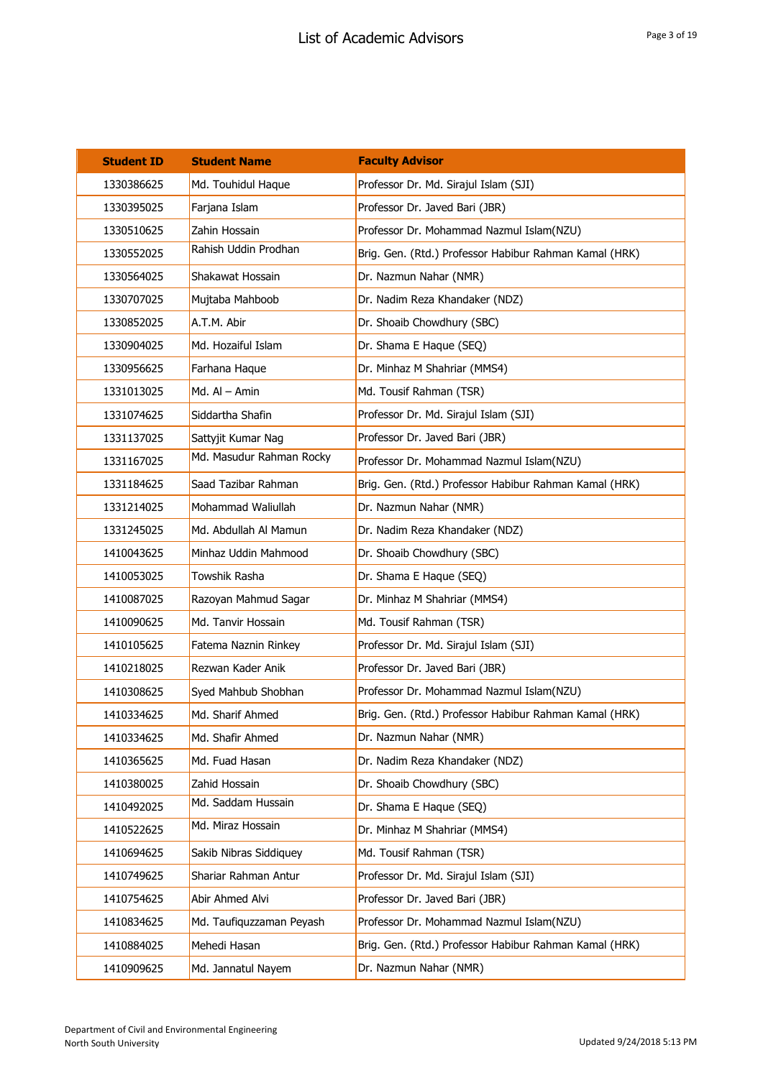| <b>Student ID</b> | <b>Student Name</b>      | <b>Faculty Advisor</b>                                 |
|-------------------|--------------------------|--------------------------------------------------------|
| 1330386625        | Md. Touhidul Haque       | Professor Dr. Md. Sirajul Islam (SJI)                  |
| 1330395025        | Farjana Islam            | Professor Dr. Javed Bari (JBR)                         |
| 1330510625        | Zahin Hossain            | Professor Dr. Mohammad Nazmul Islam(NZU)               |
| 1330552025        | Rahish Uddin Prodhan     | Brig. Gen. (Rtd.) Professor Habibur Rahman Kamal (HRK) |
| 1330564025        | Shakawat Hossain         | Dr. Nazmun Nahar (NMR)                                 |
| 1330707025        | Mujtaba Mahboob          | Dr. Nadim Reza Khandaker (NDZ)                         |
| 1330852025        | A.T.M. Abir              | Dr. Shoaib Chowdhury (SBC)                             |
| 1330904025        | Md. Hozaiful Islam       | Dr. Shama E Haque (SEQ)                                |
| 1330956625        | Farhana Haque            | Dr. Minhaz M Shahriar (MMS4)                           |
| 1331013025        | Md. $AI - Amin$          | Md. Tousif Rahman (TSR)                                |
| 1331074625        | Siddartha Shafin         | Professor Dr. Md. Sirajul Islam (SJI)                  |
| 1331137025        | Sattyjit Kumar Nag       | Professor Dr. Javed Bari (JBR)                         |
| 1331167025        | Md. Masudur Rahman Rocky | Professor Dr. Mohammad Nazmul Islam(NZU)               |
| 1331184625        | Saad Tazibar Rahman      | Brig. Gen. (Rtd.) Professor Habibur Rahman Kamal (HRK) |
| 1331214025        | Mohammad Waliullah       | Dr. Nazmun Nahar (NMR)                                 |
| 1331245025        | Md. Abdullah Al Mamun    | Dr. Nadim Reza Khandaker (NDZ)                         |
| 1410043625        | Minhaz Uddin Mahmood     | Dr. Shoaib Chowdhury (SBC)                             |
| 1410053025        | Towshik Rasha            | Dr. Shama E Haque (SEQ)                                |
| 1410087025        | Razoyan Mahmud Sagar     | Dr. Minhaz M Shahriar (MMS4)                           |
| 1410090625        | Md. Tanvir Hossain       | Md. Tousif Rahman (TSR)                                |
| 1410105625        | Fatema Naznin Rinkey     | Professor Dr. Md. Sirajul Islam (SJI)                  |
| 1410218025        | Rezwan Kader Anik        | Professor Dr. Javed Bari (JBR)                         |
| 1410308625        | Syed Mahbub Shobhan      | Professor Dr. Mohammad Nazmul Islam(NZU)               |
| 1410334625        | Md. Sharif Ahmed         | Brig. Gen. (Rtd.) Professor Habibur Rahman Kamal (HRK) |
| 1410334625        | Md. Shafir Ahmed         | Dr. Nazmun Nahar (NMR)                                 |
| 1410365625        | Md. Fuad Hasan           | Dr. Nadim Reza Khandaker (NDZ)                         |
| 1410380025        | Zahid Hossain            | Dr. Shoaib Chowdhury (SBC)                             |
| 1410492025        | Md. Saddam Hussain       | Dr. Shama E Haque (SEQ)                                |
| 1410522625        | Md. Miraz Hossain        | Dr. Minhaz M Shahriar (MMS4)                           |
| 1410694625        | Sakib Nibras Siddiquey   | Md. Tousif Rahman (TSR)                                |
| 1410749625        | Shariar Rahman Antur     | Professor Dr. Md. Sirajul Islam (SJI)                  |
| 1410754625        | Abir Ahmed Alvi          | Professor Dr. Javed Bari (JBR)                         |
| 1410834625        | Md. Taufiquzzaman Peyash | Professor Dr. Mohammad Nazmul Islam(NZU)               |
| 1410884025        | Mehedi Hasan             | Brig. Gen. (Rtd.) Professor Habibur Rahman Kamal (HRK) |
| 1410909625        | Md. Jannatul Nayem       | Dr. Nazmun Nahar (NMR)                                 |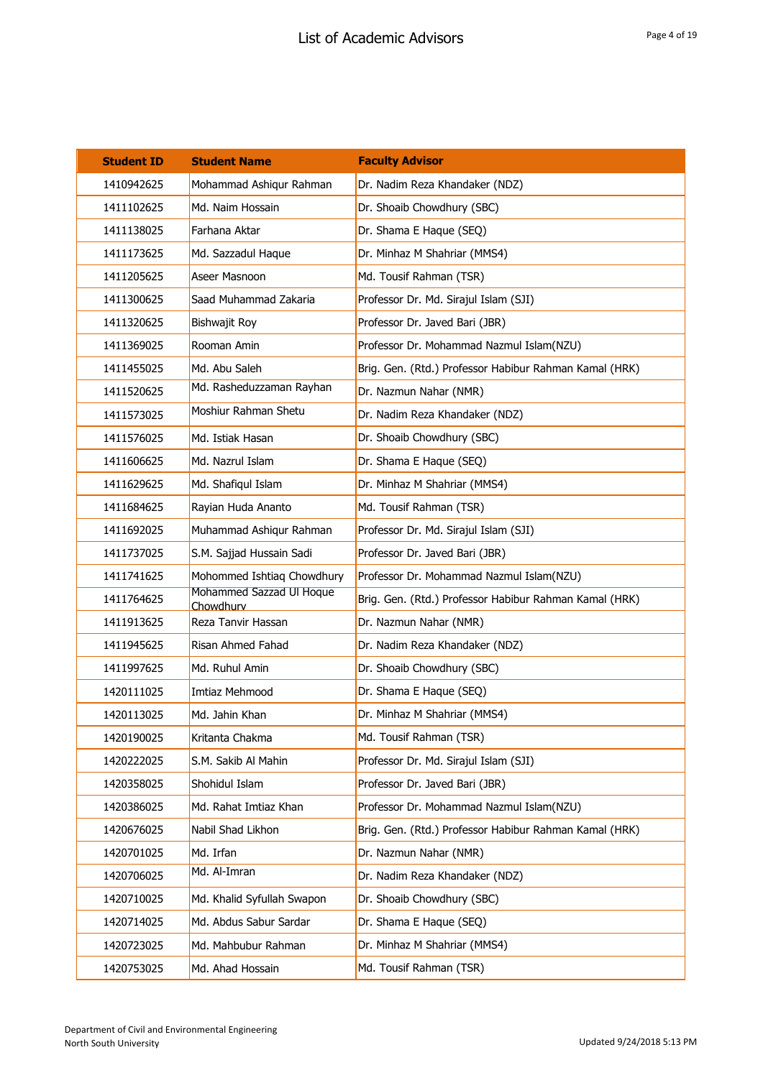| <b>Student ID</b> | <b>Student Name</b>                   | <b>Faculty Advisor</b>                                 |
|-------------------|---------------------------------------|--------------------------------------------------------|
| 1410942625        | Mohammad Ashigur Rahman               | Dr. Nadim Reza Khandaker (NDZ)                         |
| 1411102625        | Md. Naim Hossain                      | Dr. Shoaib Chowdhury (SBC)                             |
| 1411138025        | Farhana Aktar                         | Dr. Shama E Haque (SEQ)                                |
| 1411173625        | Md. Sazzadul Haque                    | Dr. Minhaz M Shahriar (MMS4)                           |
| 1411205625        | Aseer Masnoon                         | Md. Tousif Rahman (TSR)                                |
| 1411300625        | Saad Muhammad Zakaria                 | Professor Dr. Md. Sirajul Islam (SJI)                  |
| 1411320625        | Bishwajit Roy                         | Professor Dr. Javed Bari (JBR)                         |
| 1411369025        | Rooman Amin                           | Professor Dr. Mohammad Nazmul Islam(NZU)               |
| 1411455025        | Md. Abu Saleh                         | Brig. Gen. (Rtd.) Professor Habibur Rahman Kamal (HRK) |
| 1411520625        | Md. Rasheduzzaman Rayhan              | Dr. Nazmun Nahar (NMR)                                 |
| 1411573025        | Moshiur Rahman Shetu                  | Dr. Nadim Reza Khandaker (NDZ)                         |
| 1411576025        | Md. Istiak Hasan                      | Dr. Shoaib Chowdhury (SBC)                             |
| 1411606625        | Md. Nazrul Islam                      | Dr. Shama E Haque (SEQ)                                |
| 1411629625        | Md. Shafiqul Islam                    | Dr. Minhaz M Shahriar (MMS4)                           |
| 1411684625        | Rayian Huda Ananto                    | Md. Tousif Rahman (TSR)                                |
| 1411692025        | Muhammad Ashiqur Rahman               | Professor Dr. Md. Sirajul Islam (SJI)                  |
| 1411737025        | S.M. Sajjad Hussain Sadi              | Professor Dr. Javed Bari (JBR)                         |
| 1411741625        | Mohommed Ishtiaq Chowdhury            | Professor Dr. Mohammad Nazmul Islam(NZU)               |
| 1411764625        | Mohammed Sazzad UI Hoque<br>Chowdhurv | Brig. Gen. (Rtd.) Professor Habibur Rahman Kamal (HRK) |
| 1411913625        | Reza Tanvir Hassan                    | Dr. Nazmun Nahar (NMR)                                 |
| 1411945625        | Risan Ahmed Fahad                     | Dr. Nadim Reza Khandaker (NDZ)                         |
| 1411997625        | Md. Ruhul Amin                        | Dr. Shoaib Chowdhury (SBC)                             |
| 1420111025        | Imtiaz Mehmood                        | Dr. Shama E Haque (SEQ)                                |
| 1420113025        | Md. Jahin Khan                        | Dr. Minhaz M Shahriar (MMS4)                           |
| 1420190025        | Kritanta Chakma                       | Md. Tousif Rahman (TSR)                                |
| 1420222025        | S.M. Sakib Al Mahin                   | Professor Dr. Md. Sirajul Islam (SJI)                  |
| 1420358025        | Shohidul Islam                        | Professor Dr. Javed Bari (JBR)                         |
| 1420386025        | Md. Rahat Imtiaz Khan                 | Professor Dr. Mohammad Nazmul Islam(NZU)               |
| 1420676025        | Nabil Shad Likhon                     | Brig. Gen. (Rtd.) Professor Habibur Rahman Kamal (HRK) |
| 1420701025        | Md. Irfan                             | Dr. Nazmun Nahar (NMR)                                 |
| 1420706025        | Md. Al-Imran                          | Dr. Nadim Reza Khandaker (NDZ)                         |
| 1420710025        | Md. Khalid Syfullah Swapon            | Dr. Shoaib Chowdhury (SBC)                             |
| 1420714025        | Md. Abdus Sabur Sardar                | Dr. Shama E Haque (SEQ)                                |
| 1420723025        | Md. Mahbubur Rahman                   | Dr. Minhaz M Shahriar (MMS4)                           |
| 1420753025        | Md. Ahad Hossain                      | Md. Tousif Rahman (TSR)                                |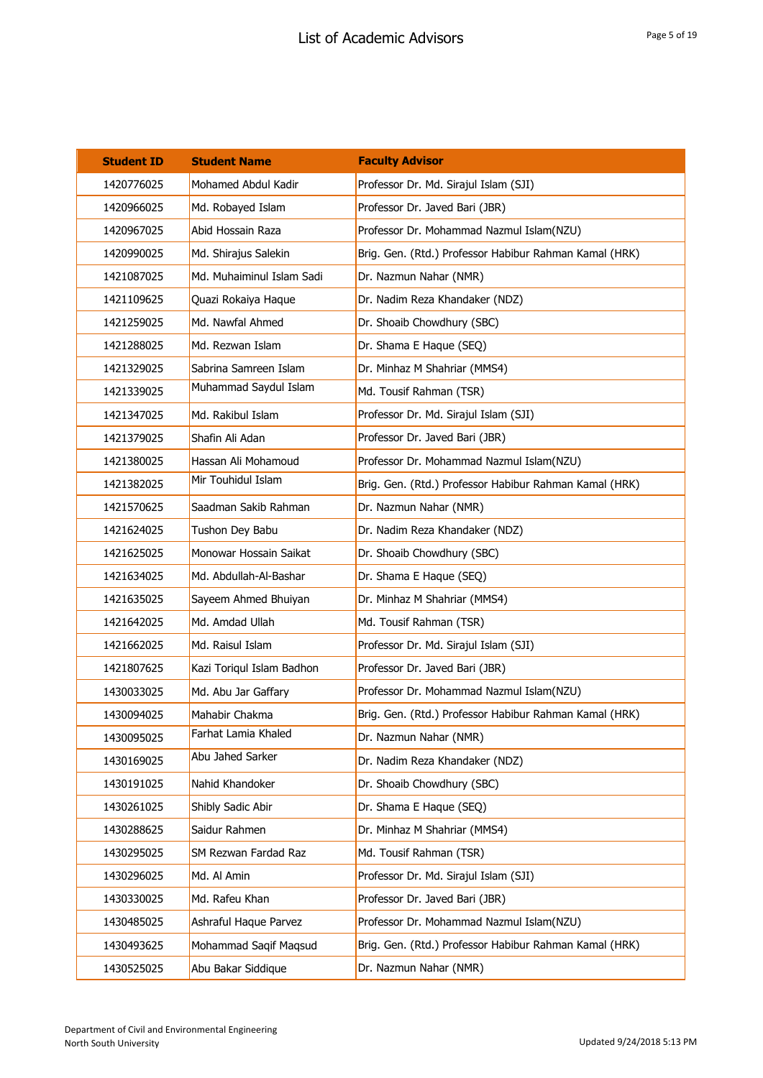| <b>Student ID</b> | <b>Student Name</b>       | <b>Faculty Advisor</b>                                 |
|-------------------|---------------------------|--------------------------------------------------------|
| 1420776025        | Mohamed Abdul Kadir       | Professor Dr. Md. Sirajul Islam (SJI)                  |
| 1420966025        | Md. Robayed Islam         | Professor Dr. Javed Bari (JBR)                         |
| 1420967025        | Abid Hossain Raza         | Professor Dr. Mohammad Nazmul Islam(NZU)               |
| 1420990025        | Md. Shirajus Salekin      | Brig. Gen. (Rtd.) Professor Habibur Rahman Kamal (HRK) |
| 1421087025        | Md. Muhaiminul Islam Sadi | Dr. Nazmun Nahar (NMR)                                 |
| 1421109625        | Quazi Rokaiya Haque       | Dr. Nadim Reza Khandaker (NDZ)                         |
| 1421259025        | Md. Nawfal Ahmed          | Dr. Shoaib Chowdhury (SBC)                             |
| 1421288025        | Md. Rezwan Islam          | Dr. Shama E Haque (SEQ)                                |
| 1421329025        | Sabrina Samreen Islam     | Dr. Minhaz M Shahriar (MMS4)                           |
| 1421339025        | Muhammad Saydul Islam     | Md. Tousif Rahman (TSR)                                |
| 1421347025        | Md. Rakibul Islam         | Professor Dr. Md. Sirajul Islam (SJI)                  |
| 1421379025        | Shafin Ali Adan           | Professor Dr. Javed Bari (JBR)                         |
| 1421380025        | Hassan Ali Mohamoud       | Professor Dr. Mohammad Nazmul Islam(NZU)               |
| 1421382025        | Mir Touhidul Islam        | Brig. Gen. (Rtd.) Professor Habibur Rahman Kamal (HRK) |
| 1421570625        | Saadman Sakib Rahman      | Dr. Nazmun Nahar (NMR)                                 |
| 1421624025        | Tushon Dey Babu           | Dr. Nadim Reza Khandaker (NDZ)                         |
| 1421625025        | Monowar Hossain Saikat    | Dr. Shoaib Chowdhury (SBC)                             |
| 1421634025        | Md. Abdullah-Al-Bashar    | Dr. Shama E Haque (SEQ)                                |
| 1421635025        | Sayeem Ahmed Bhuiyan      | Dr. Minhaz M Shahriar (MMS4)                           |
| 1421642025        | Md. Amdad Ullah           | Md. Tousif Rahman (TSR)                                |
| 1421662025        | Md. Raisul Islam          | Professor Dr. Md. Sirajul Islam (SJI)                  |
| 1421807625        | Kazi Toriqul Islam Badhon | Professor Dr. Javed Bari (JBR)                         |
| 1430033025        | Md. Abu Jar Gaffary       | Professor Dr. Mohammad Nazmul Islam(NZU)               |
| 1430094025        | Mahabir Chakma            | Brig. Gen. (Rtd.) Professor Habibur Rahman Kamal (HRK) |
| 1430095025        | Farhat Lamia Khaled       | Dr. Nazmun Nahar (NMR)                                 |
| 1430169025        | Abu Jahed Sarker          | Dr. Nadim Reza Khandaker (NDZ)                         |
| 1430191025        | Nahid Khandoker           | Dr. Shoaib Chowdhury (SBC)                             |
| 1430261025        | Shibly Sadic Abir         | Dr. Shama E Haque (SEQ)                                |
| 1430288625        | Saidur Rahmen             | Dr. Minhaz M Shahriar (MMS4)                           |
| 1430295025        | SM Rezwan Fardad Raz      | Md. Tousif Rahman (TSR)                                |
| 1430296025        | Md. Al Amin               | Professor Dr. Md. Sirajul Islam (SJI)                  |
| 1430330025        | Md. Rafeu Khan            | Professor Dr. Javed Bari (JBR)                         |
| 1430485025        | Ashraful Haque Parvez     | Professor Dr. Mohammad Nazmul Islam(NZU)               |
| 1430493625        | Mohammad Saqif Maqsud     | Brig. Gen. (Rtd.) Professor Habibur Rahman Kamal (HRK) |
| 1430525025        | Abu Bakar Siddique        | Dr. Nazmun Nahar (NMR)                                 |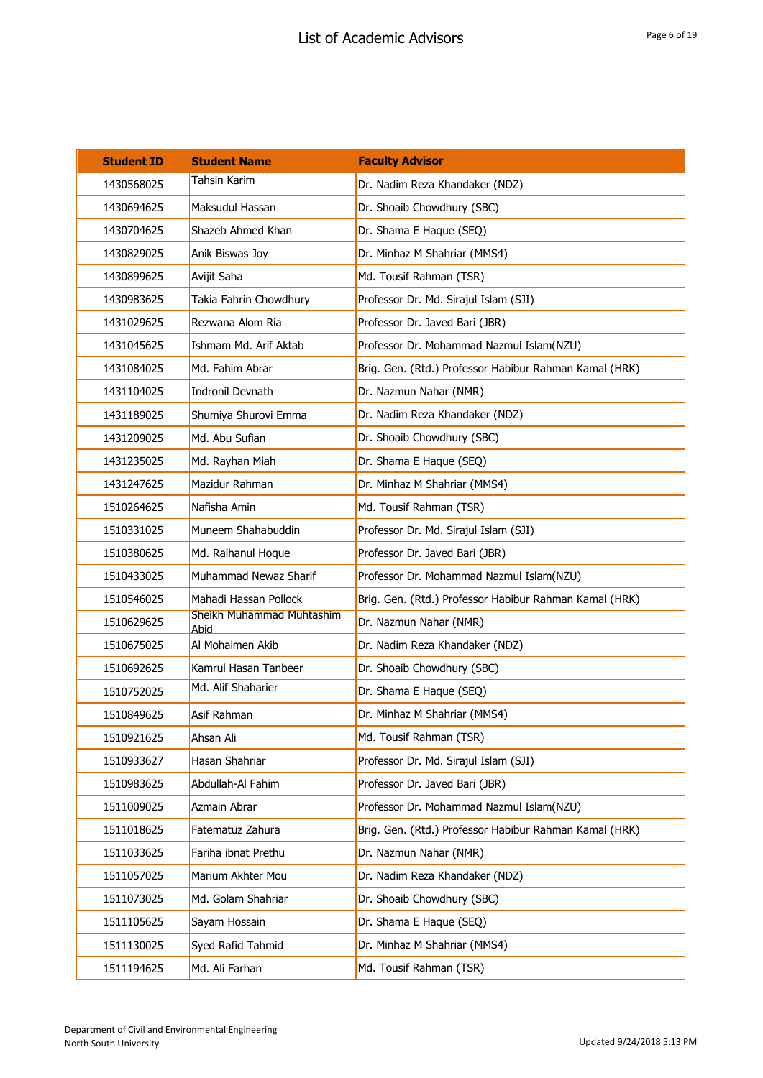| <b>Student ID</b> | <b>Student Name</b>               | <b>Faculty Advisor</b>                                 |
|-------------------|-----------------------------------|--------------------------------------------------------|
| 1430568025        | <b>Tahsin Karim</b>               | Dr. Nadim Reza Khandaker (NDZ)                         |
| 1430694625        | Maksudul Hassan                   | Dr. Shoaib Chowdhury (SBC)                             |
| 1430704625        | Shazeb Ahmed Khan                 | Dr. Shama E Haque (SEQ)                                |
| 1430829025        | Anik Biswas Joy                   | Dr. Minhaz M Shahriar (MMS4)                           |
| 1430899625        | Avijit Saha                       | Md. Tousif Rahman (TSR)                                |
| 1430983625        | Takia Fahrin Chowdhury            | Professor Dr. Md. Sirajul Islam (SJI)                  |
| 1431029625        | Rezwana Alom Ria                  | Professor Dr. Javed Bari (JBR)                         |
| 1431045625        | Ishmam Md. Arif Aktab             | Professor Dr. Mohammad Nazmul Islam(NZU)               |
| 1431084025        | Md. Fahim Abrar                   | Brig. Gen. (Rtd.) Professor Habibur Rahman Kamal (HRK) |
| 1431104025        | Indronil Devnath                  | Dr. Nazmun Nahar (NMR)                                 |
| 1431189025        | Shumiya Shurovi Emma              | Dr. Nadim Reza Khandaker (NDZ)                         |
| 1431209025        | Md. Abu Sufian                    | Dr. Shoaib Chowdhury (SBC)                             |
| 1431235025        | Md. Rayhan Miah                   | Dr. Shama E Haque (SEQ)                                |
| 1431247625        | Mazidur Rahman                    | Dr. Minhaz M Shahriar (MMS4)                           |
| 1510264625        | Nafisha Amin                      | Md. Tousif Rahman (TSR)                                |
| 1510331025        | Muneem Shahabuddin                | Professor Dr. Md. Sirajul Islam (SJI)                  |
| 1510380625        | Md. Raihanul Hoque                | Professor Dr. Javed Bari (JBR)                         |
| 1510433025        | Muhammad Newaz Sharif             | Professor Dr. Mohammad Nazmul Islam(NZU)               |
| 1510546025        | Mahadi Hassan Pollock             | Brig. Gen. (Rtd.) Professor Habibur Rahman Kamal (HRK) |
| 1510629625        | Sheikh Muhammad Muhtashim<br>Abid | Dr. Nazmun Nahar (NMR)                                 |
| 1510675025        | Al Mohaimen Akib                  | Dr. Nadim Reza Khandaker (NDZ)                         |
| 1510692625        | Kamrul Hasan Tanbeer              | Dr. Shoaib Chowdhury (SBC)                             |
| 1510752025        | Md. Alif Shaharier                | Dr. Shama E Haque (SEQ)                                |
| 1510849625        | Asif Rahman                       | Dr. Minhaz M Shahriar (MMS4)                           |
| 1510921625        | Ahsan Ali                         | Md. Tousif Rahman (TSR)                                |
| 1510933627        | Hasan Shahriar                    | Professor Dr. Md. Sirajul Islam (SJI)                  |
| 1510983625        | Abdullah-Al Fahim                 | Professor Dr. Javed Bari (JBR)                         |
| 1511009025        | Azmain Abrar                      | Professor Dr. Mohammad Nazmul Islam(NZU)               |
| 1511018625        | Fatematuz Zahura                  | Brig. Gen. (Rtd.) Professor Habibur Rahman Kamal (HRK) |
| 1511033625        | Fariha ibnat Prethu               | Dr. Nazmun Nahar (NMR)                                 |
| 1511057025        | Marium Akhter Mou                 | Dr. Nadim Reza Khandaker (NDZ)                         |
| 1511073025        | Md. Golam Shahriar                | Dr. Shoaib Chowdhury (SBC)                             |
| 1511105625        | Sayam Hossain                     | Dr. Shama E Haque (SEQ)                                |
| 1511130025        | Syed Rafid Tahmid                 | Dr. Minhaz M Shahriar (MMS4)                           |
| 1511194625        | Md. Ali Farhan                    | Md. Tousif Rahman (TSR)                                |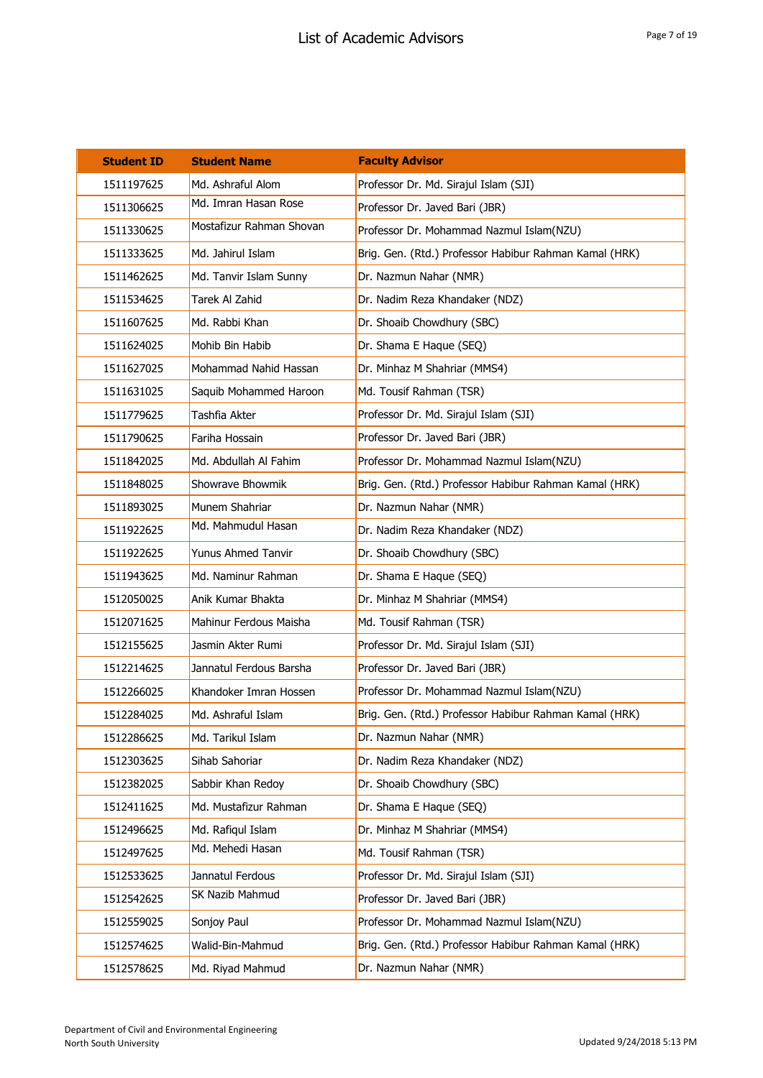| <b>Student ID</b> | <b>Student Name</b>      | <b>Faculty Advisor</b>                                 |
|-------------------|--------------------------|--------------------------------------------------------|
| 1511197625        | Md. Ashraful Alom        | Professor Dr. Md. Sirajul Islam (SJI)                  |
| 1511306625        | Md. Imran Hasan Rose     | Professor Dr. Javed Bari (JBR)                         |
| 1511330625        | Mostafizur Rahman Shovan | Professor Dr. Mohammad Nazmul Islam(NZU)               |
| 1511333625        | Md. Jahirul Islam        | Brig. Gen. (Rtd.) Professor Habibur Rahman Kamal (HRK) |
| 1511462625        | Md. Tanvir Islam Sunny   | Dr. Nazmun Nahar (NMR)                                 |
| 1511534625        | Tarek Al Zahid           | Dr. Nadim Reza Khandaker (NDZ)                         |
| 1511607625        | Md. Rabbi Khan           | Dr. Shoaib Chowdhury (SBC)                             |
| 1511624025        | Mohib Bin Habib          | Dr. Shama E Haque (SEQ)                                |
| 1511627025        | Mohammad Nahid Hassan    | Dr. Minhaz M Shahriar (MMS4)                           |
| 1511631025        | Saquib Mohammed Haroon   | Md. Tousif Rahman (TSR)                                |
| 1511779625        | Tashfia Akter            | Professor Dr. Md. Sirajul Islam (SJI)                  |
| 1511790625        | Fariha Hossain           | Professor Dr. Javed Bari (JBR)                         |
| 1511842025        | Md. Abdullah Al Fahim    | Professor Dr. Mohammad Nazmul Islam(NZU)               |
| 1511848025        | Showrave Bhowmik         | Brig. Gen. (Rtd.) Professor Habibur Rahman Kamal (HRK) |
| 1511893025        | Munem Shahriar           | Dr. Nazmun Nahar (NMR)                                 |
| 1511922625        | Md. Mahmudul Hasan       | Dr. Nadim Reza Khandaker (NDZ)                         |
| 1511922625        | Yunus Ahmed Tanvir       | Dr. Shoaib Chowdhury (SBC)                             |
| 1511943625        | Md. Naminur Rahman       | Dr. Shama E Haque (SEQ)                                |
| 1512050025        | Anik Kumar Bhakta        | Dr. Minhaz M Shahriar (MMS4)                           |
| 1512071625        | Mahinur Ferdous Maisha   | Md. Tousif Rahman (TSR)                                |
| 1512155625        | Jasmin Akter Rumi        | Professor Dr. Md. Sirajul Islam (SJI)                  |
| 1512214625        | Jannatul Ferdous Barsha  | Professor Dr. Javed Bari (JBR)                         |
| 1512266025        | Khandoker Imran Hossen   | Professor Dr. Mohammad Nazmul Islam(NZU)               |
| 1512284025        | Md. Ashraful Islam       | Brig. Gen. (Rtd.) Professor Habibur Rahman Kamal (HRK) |
| 1512286625        | Md. Tarikul Islam        | Dr. Nazmun Nahar (NMR)                                 |
| 1512303625        | Sihab Sahoriar           | Dr. Nadim Reza Khandaker (NDZ)                         |
| 1512382025        | Sabbir Khan Redoy        | Dr. Shoaib Chowdhury (SBC)                             |
| 1512411625        | Md. Mustafizur Rahman    | Dr. Shama E Haque (SEQ)                                |
| 1512496625        | Md. Rafiqul Islam        | Dr. Minhaz M Shahriar (MMS4)                           |
| 1512497625        | Md. Mehedi Hasan         | Md. Tousif Rahman (TSR)                                |
| 1512533625        | Jannatul Ferdous         | Professor Dr. Md. Sirajul Islam (SJI)                  |
| 1512542625        | SK Nazib Mahmud          | Professor Dr. Javed Bari (JBR)                         |
| 1512559025        | Sonjoy Paul              | Professor Dr. Mohammad Nazmul Islam(NZU)               |
| 1512574625        | Walid-Bin-Mahmud         | Brig. Gen. (Rtd.) Professor Habibur Rahman Kamal (HRK) |
| 1512578625        | Md. Riyad Mahmud         | Dr. Nazmun Nahar (NMR)                                 |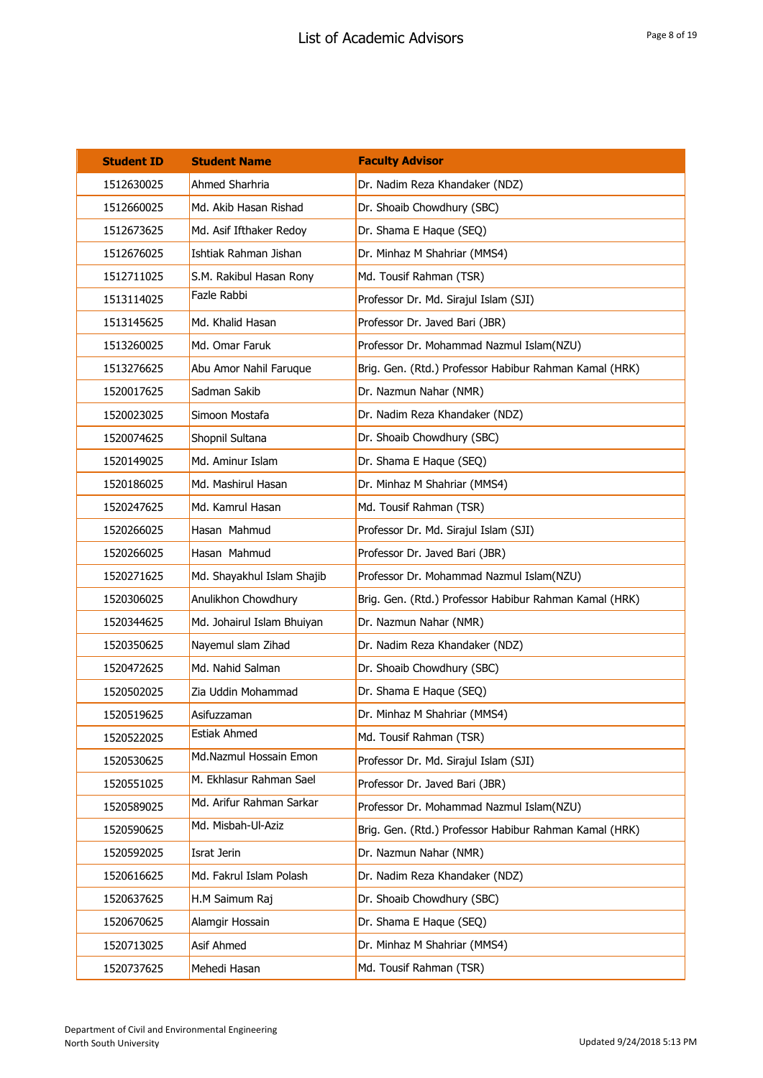| <b>Student ID</b> | <b>Student Name</b>        | <b>Faculty Advisor</b>                                 |
|-------------------|----------------------------|--------------------------------------------------------|
| 1512630025        | Ahmed Sharhria             | Dr. Nadim Reza Khandaker (NDZ)                         |
| 1512660025        | Md. Akib Hasan Rishad      | Dr. Shoaib Chowdhury (SBC)                             |
| 1512673625        | Md. Asif Ifthaker Redoy    | Dr. Shama E Haque (SEQ)                                |
| 1512676025        | Ishtiak Rahman Jishan      | Dr. Minhaz M Shahriar (MMS4)                           |
| 1512711025        | S.M. Rakibul Hasan Rony    | Md. Tousif Rahman (TSR)                                |
| 1513114025        | Fazle Rabbi                | Professor Dr. Md. Sirajul Islam (SJI)                  |
| 1513145625        | Md. Khalid Hasan           | Professor Dr. Javed Bari (JBR)                         |
| 1513260025        | Md. Omar Faruk             | Professor Dr. Mohammad Nazmul Islam(NZU)               |
| 1513276625        | Abu Amor Nahil Faruque     | Brig. Gen. (Rtd.) Professor Habibur Rahman Kamal (HRK) |
| 1520017625        | Sadman Sakib               | Dr. Nazmun Nahar (NMR)                                 |
| 1520023025        | Simoon Mostafa             | Dr. Nadim Reza Khandaker (NDZ)                         |
| 1520074625        | Shopnil Sultana            | Dr. Shoaib Chowdhury (SBC)                             |
| 1520149025        | Md. Aminur Islam           | Dr. Shama E Haque (SEQ)                                |
| 1520186025        | Md. Mashirul Hasan         | Dr. Minhaz M Shahriar (MMS4)                           |
| 1520247625        | Md. Kamrul Hasan           | Md. Tousif Rahman (TSR)                                |
| 1520266025        | Hasan Mahmud               | Professor Dr. Md. Sirajul Islam (SJI)                  |
| 1520266025        | Hasan Mahmud               | Professor Dr. Javed Bari (JBR)                         |
| 1520271625        | Md. Shayakhul Islam Shajib | Professor Dr. Mohammad Nazmul Islam(NZU)               |
| 1520306025        | Anulikhon Chowdhury        | Brig. Gen. (Rtd.) Professor Habibur Rahman Kamal (HRK) |
| 1520344625        | Md. Johairul Islam Bhuiyan | Dr. Nazmun Nahar (NMR)                                 |
| 1520350625        | Nayemul slam Zihad         | Dr. Nadim Reza Khandaker (NDZ)                         |
| 1520472625        | Md. Nahid Salman           | Dr. Shoaib Chowdhury (SBC)                             |
| 1520502025        | Zia Uddin Mohammad         | Dr. Shama E Haque (SEQ)                                |
| 1520519625        | Asifuzzaman                | Dr. Minhaz M Shahriar (MMS4)                           |
| 1520522025        | Estiak Ahmed               | Md. Tousif Rahman (TSR)                                |
| 1520530625        | Md.Nazmul Hossain Emon     | Professor Dr. Md. Sirajul Islam (SJI)                  |
| 1520551025        | M. Ekhlasur Rahman Sael    | Professor Dr. Javed Bari (JBR)                         |
| 1520589025        | Md. Arifur Rahman Sarkar   | Professor Dr. Mohammad Nazmul Islam(NZU)               |
| 1520590625        | Md. Misbah-Ul-Aziz         | Brig. Gen. (Rtd.) Professor Habibur Rahman Kamal (HRK) |
| 1520592025        | Israt Jerin                | Dr. Nazmun Nahar (NMR)                                 |
| 1520616625        | Md. Fakrul Islam Polash    | Dr. Nadim Reza Khandaker (NDZ)                         |
| 1520637625        | H.M Saimum Raj             | Dr. Shoaib Chowdhury (SBC)                             |
| 1520670625        | Alamgir Hossain            | Dr. Shama E Haque (SEQ)                                |
| 1520713025        | Asif Ahmed                 | Dr. Minhaz M Shahriar (MMS4)                           |
| 1520737625        | Mehedi Hasan               | Md. Tousif Rahman (TSR)                                |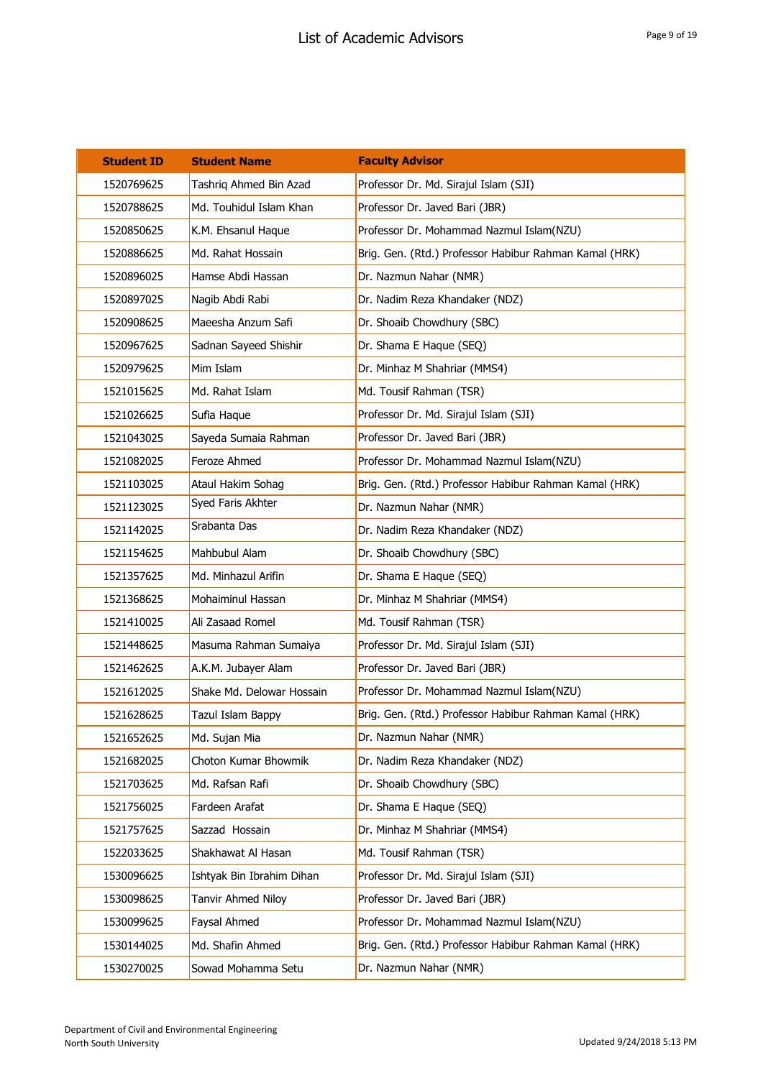| <b>Student ID</b> | <b>Student Name</b>       | <b>Faculty Advisor</b>                                 |
|-------------------|---------------------------|--------------------------------------------------------|
| 1520769625        | Tashriq Ahmed Bin Azad    | Professor Dr. Md. Sirajul Islam (SJI)                  |
| 1520788625        | Md. Touhidul Islam Khan   | Professor Dr. Javed Bari (JBR)                         |
| 1520850625        | K.M. Ehsanul Haque        | Professor Dr. Mohammad Nazmul Islam(NZU)               |
| 1520886625        | Md. Rahat Hossain         | Brig. Gen. (Rtd.) Professor Habibur Rahman Kamal (HRK) |
| 1520896025        | Hamse Abdi Hassan         | Dr. Nazmun Nahar (NMR)                                 |
| 1520897025        | Nagib Abdi Rabi           | Dr. Nadim Reza Khandaker (NDZ)                         |
| 1520908625        | Maeesha Anzum Safi        | Dr. Shoaib Chowdhury (SBC)                             |
| 1520967625        | Sadnan Sayeed Shishir     | Dr. Shama E Haque (SEQ)                                |
| 1520979625        | Mim Islam                 | Dr. Minhaz M Shahriar (MMS4)                           |
| 1521015625        | Md. Rahat Islam           | Md. Tousif Rahman (TSR)                                |
| 1521026625        | Sufia Haque               | Professor Dr. Md. Sirajul Islam (SJI)                  |
| 1521043025        | Sayeda Sumaia Rahman      | Professor Dr. Javed Bari (JBR)                         |
| 1521082025        | Feroze Ahmed              | Professor Dr. Mohammad Nazmul Islam(NZU)               |
| 1521103025        | Ataul Hakim Sohag         | Brig. Gen. (Rtd.) Professor Habibur Rahman Kamal (HRK) |
| 1521123025        | Syed Faris Akhter         | Dr. Nazmun Nahar (NMR)                                 |
| 1521142025        | Srabanta Das              | Dr. Nadim Reza Khandaker (NDZ)                         |
| 1521154625        | Mahbubul Alam             | Dr. Shoaib Chowdhury (SBC)                             |
| 1521357625        | Md. Minhazul Arifin       | Dr. Shama E Haque (SEQ)                                |
| 1521368625        | Mohaiminul Hassan         | Dr. Minhaz M Shahriar (MMS4)                           |
| 1521410025        | Ali Zasaad Romel          | Md. Tousif Rahman (TSR)                                |
| 1521448625        | Masuma Rahman Sumaiya     | Professor Dr. Md. Sirajul Islam (SJI)                  |
| 1521462625        | A.K.M. Jubayer Alam       | Professor Dr. Javed Bari (JBR)                         |
| 1521612025        | Shake Md. Delowar Hossain | Professor Dr. Mohammad Nazmul Islam(NZU)               |
| 1521628625        | Tazul Islam Bappy         | Brig. Gen. (Rtd.) Professor Habibur Rahman Kamal (HRK) |
| 1521652625        | Md. Sujan Mia             | Dr. Nazmun Nahar (NMR)                                 |
| 1521682025        | Choton Kumar Bhowmik      | Dr. Nadim Reza Khandaker (NDZ)                         |
| 1521703625        | Md. Rafsan Rafi           | Dr. Shoaib Chowdhury (SBC)                             |
| 1521756025        | Fardeen Arafat            | Dr. Shama E Haque (SEQ)                                |
| 1521757625        | Sazzad Hossain            | Dr. Minhaz M Shahriar (MMS4)                           |
| 1522033625        | Shakhawat Al Hasan        | Md. Tousif Rahman (TSR)                                |
| 1530096625        | Ishtyak Bin Ibrahim Dihan | Professor Dr. Md. Sirajul Islam (SJI)                  |
| 1530098625        | Tanvir Ahmed Niloy        | Professor Dr. Javed Bari (JBR)                         |
| 1530099625        | Faysal Ahmed              | Professor Dr. Mohammad Nazmul Islam(NZU)               |
| 1530144025        | Md. Shafin Ahmed          | Brig. Gen. (Rtd.) Professor Habibur Rahman Kamal (HRK) |
| 1530270025        | Sowad Mohamma Setu        | Dr. Nazmun Nahar (NMR)                                 |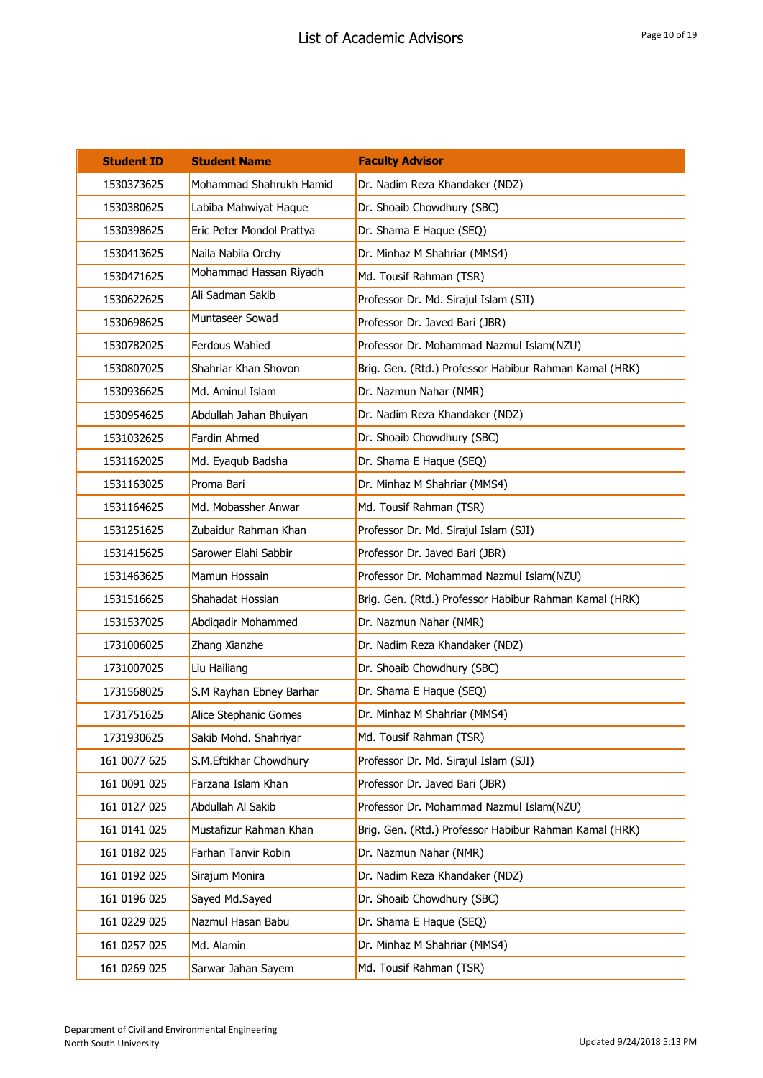| <b>Student ID</b> | <b>Student Name</b>       | <b>Faculty Advisor</b>                                 |
|-------------------|---------------------------|--------------------------------------------------------|
| 1530373625        | Mohammad Shahrukh Hamid   | Dr. Nadim Reza Khandaker (NDZ)                         |
| 1530380625        | Labiba Mahwiyat Haque     | Dr. Shoaib Chowdhury (SBC)                             |
| 1530398625        | Eric Peter Mondol Prattya | Dr. Shama E Haque (SEQ)                                |
| 1530413625        | Naila Nabila Orchy        | Dr. Minhaz M Shahriar (MMS4)                           |
| 1530471625        | Mohammad Hassan Riyadh    | Md. Tousif Rahman (TSR)                                |
| 1530622625        | Ali Sadman Sakib          | Professor Dr. Md. Sirajul Islam (SJI)                  |
| 1530698625        | Muntaseer Sowad           | Professor Dr. Javed Bari (JBR)                         |
| 1530782025        | <b>Ferdous Wahied</b>     | Professor Dr. Mohammad Nazmul Islam(NZU)               |
| 1530807025        | Shahriar Khan Shovon      | Brig. Gen. (Rtd.) Professor Habibur Rahman Kamal (HRK) |
| 1530936625        | Md. Aminul Islam          | Dr. Nazmun Nahar (NMR)                                 |
| 1530954625        | Abdullah Jahan Bhuiyan    | Dr. Nadim Reza Khandaker (NDZ)                         |
| 1531032625        | Fardin Ahmed              | Dr. Shoaib Chowdhury (SBC)                             |
| 1531162025        | Md. Eyaqub Badsha         | Dr. Shama E Haque (SEQ)                                |
| 1531163025        | Proma Bari                | Dr. Minhaz M Shahriar (MMS4)                           |
| 1531164625        | Md. Mobassher Anwar       | Md. Tousif Rahman (TSR)                                |
| 1531251625        | Zubaidur Rahman Khan      | Professor Dr. Md. Sirajul Islam (SJI)                  |
| 1531415625        | Sarower Elahi Sabbir      | Professor Dr. Javed Bari (JBR)                         |
| 1531463625        | Mamun Hossain             | Professor Dr. Mohammad Nazmul Islam(NZU)               |
| 1531516625        | Shahadat Hossian          | Brig. Gen. (Rtd.) Professor Habibur Rahman Kamal (HRK) |
| 1531537025        | Abdiqadir Mohammed        | Dr. Nazmun Nahar (NMR)                                 |
| 1731006025        | Zhang Xianzhe             | Dr. Nadim Reza Khandaker (NDZ)                         |
| 1731007025        | Liu Hailiang              | Dr. Shoaib Chowdhury (SBC)                             |
| 1731568025        | S.M Rayhan Ebney Barhar   | Dr. Shama E Haque (SEQ)                                |
| 1731751625        | Alice Stephanic Gomes     | Dr. Minhaz M Shahriar (MMS4)                           |
| 1731930625        | Sakib Mohd. Shahriyar     | Md. Tousif Rahman (TSR)                                |
| 161 0077 625      | S.M.Eftikhar Chowdhury    | Professor Dr. Md. Sirajul Islam (SJI)                  |
| 161 0091 025      | Farzana Islam Khan        | Professor Dr. Javed Bari (JBR)                         |
| 161 0127 025      | Abdullah Al Sakib         | Professor Dr. Mohammad Nazmul Islam(NZU)               |
| 161 0141 025      | Mustafizur Rahman Khan    | Brig. Gen. (Rtd.) Professor Habibur Rahman Kamal (HRK) |
| 161 0182 025      | Farhan Tanvir Robin       | Dr. Nazmun Nahar (NMR)                                 |
| 161 0192 025      | Sirajum Monira            | Dr. Nadim Reza Khandaker (NDZ)                         |
| 161 0196 025      | Sayed Md.Sayed            | Dr. Shoaib Chowdhury (SBC)                             |
| 161 0229 025      | Nazmul Hasan Babu         | Dr. Shama E Haque (SEQ)                                |
| 161 0257 025      | Md. Alamin                | Dr. Minhaz M Shahriar (MMS4)                           |
| 161 0269 025      | Sarwar Jahan Sayem        | Md. Tousif Rahman (TSR)                                |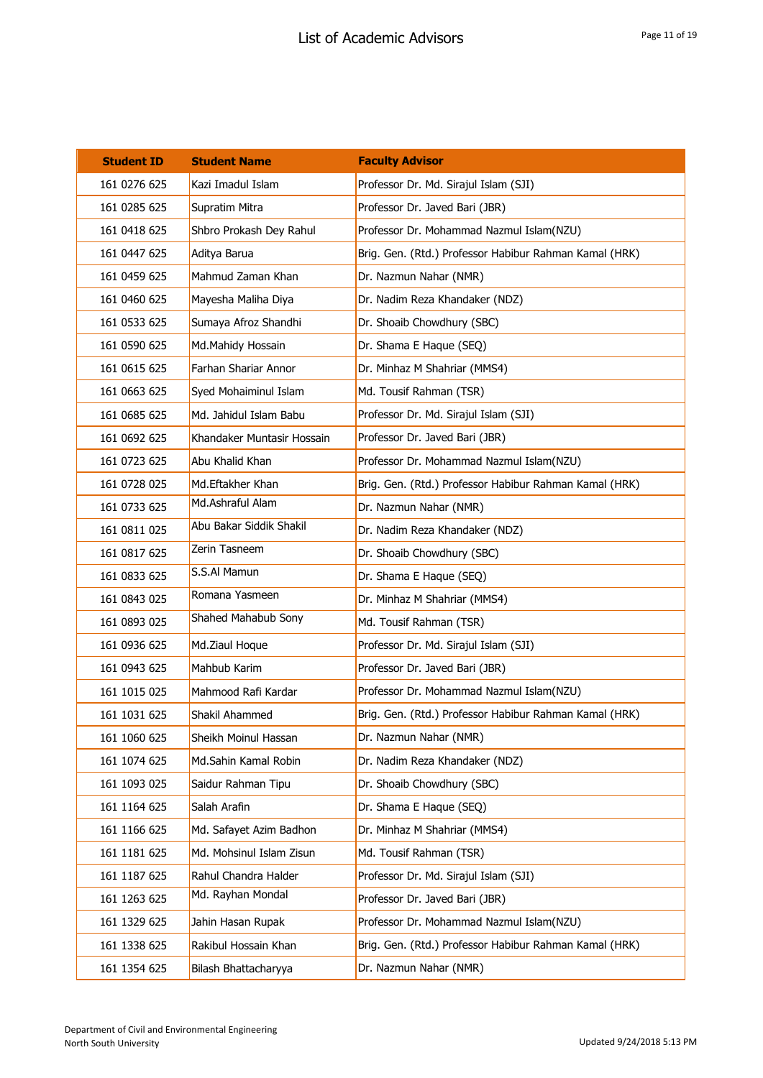| <b>Student ID</b> | <b>Student Name</b>        | <b>Faculty Advisor</b>                                 |
|-------------------|----------------------------|--------------------------------------------------------|
| 161 0276 625      | Kazi Imadul Islam          | Professor Dr. Md. Sirajul Islam (SJI)                  |
| 161 0285 625      | Supratim Mitra             | Professor Dr. Javed Bari (JBR)                         |
| 161 0418 625      | Shbro Prokash Dey Rahul    | Professor Dr. Mohammad Nazmul Islam(NZU)               |
| 161 0447 625      | Aditya Barua               | Brig. Gen. (Rtd.) Professor Habibur Rahman Kamal (HRK) |
| 161 0459 625      | Mahmud Zaman Khan          | Dr. Nazmun Nahar (NMR)                                 |
| 161 0460 625      | Mayesha Maliha Diya        | Dr. Nadim Reza Khandaker (NDZ)                         |
| 161 0533 625      | Sumaya Afroz Shandhi       | Dr. Shoaib Chowdhury (SBC)                             |
| 161 0590 625      | Md.Mahidy Hossain          | Dr. Shama E Haque (SEQ)                                |
| 161 0615 625      | Farhan Shariar Annor       | Dr. Minhaz M Shahriar (MMS4)                           |
| 161 0663 625      | Syed Mohaiminul Islam      | Md. Tousif Rahman (TSR)                                |
| 161 0685 625      | Md. Jahidul Islam Babu     | Professor Dr. Md. Sirajul Islam (SJI)                  |
| 161 0692 625      | Khandaker Muntasir Hossain | Professor Dr. Javed Bari (JBR)                         |
| 161 0723 625      | Abu Khalid Khan            | Professor Dr. Mohammad Nazmul Islam(NZU)               |
| 161 0728 025      | Md.Eftakher Khan           | Brig. Gen. (Rtd.) Professor Habibur Rahman Kamal (HRK) |
| 161 0733 625      | Md.Ashraful Alam           | Dr. Nazmun Nahar (NMR)                                 |
| 161 0811 025      | Abu Bakar Siddik Shakil    | Dr. Nadim Reza Khandaker (NDZ)                         |
| 161 0817 625      | Zerin Tasneem              | Dr. Shoaib Chowdhury (SBC)                             |
| 161 0833 625      | S.S.AI Mamun               | Dr. Shama E Haque (SEQ)                                |
| 161 0843 025      | Romana Yasmeen             | Dr. Minhaz M Shahriar (MMS4)                           |
| 161 0893 025      | Shahed Mahabub Sony        | Md. Tousif Rahman (TSR)                                |
| 161 0936 625      | Md.Ziaul Hoque             | Professor Dr. Md. Sirajul Islam (SJI)                  |
| 161 0943 625      | Mahbub Karim               | Professor Dr. Javed Bari (JBR)                         |
| 161 1015 025      | Mahmood Rafi Kardar        | Professor Dr. Mohammad Nazmul Islam(NZU)               |
| 161 1031 625      | Shakil Ahammed             | Brig. Gen. (Rtd.) Professor Habibur Rahman Kamal (HRK) |
| 161 1060 625      | Sheikh Moinul Hassan       | Dr. Nazmun Nahar (NMR)                                 |
| 161 1074 625      | Md.Sahin Kamal Robin       | Dr. Nadim Reza Khandaker (NDZ)                         |
| 161 1093 025      | Saidur Rahman Tipu         | Dr. Shoaib Chowdhury (SBC)                             |
| 161 1164 625      | Salah Arafin               | Dr. Shama E Haque (SEQ)                                |
| 161 1166 625      | Md. Safayet Azim Badhon    | Dr. Minhaz M Shahriar (MMS4)                           |
| 161 1181 625      | Md. Mohsinul Islam Zisun   | Md. Tousif Rahman (TSR)                                |
| 161 1187 625      | Rahul Chandra Halder       | Professor Dr. Md. Sirajul Islam (SJI)                  |
| 161 1263 625      | Md. Rayhan Mondal          | Professor Dr. Javed Bari (JBR)                         |
| 161 1329 625      | Jahin Hasan Rupak          | Professor Dr. Mohammad Nazmul Islam(NZU)               |
| 161 1338 625      | Rakibul Hossain Khan       | Brig. Gen. (Rtd.) Professor Habibur Rahman Kamal (HRK) |
| 161 1354 625      | Bilash Bhattacharyya       | Dr. Nazmun Nahar (NMR)                                 |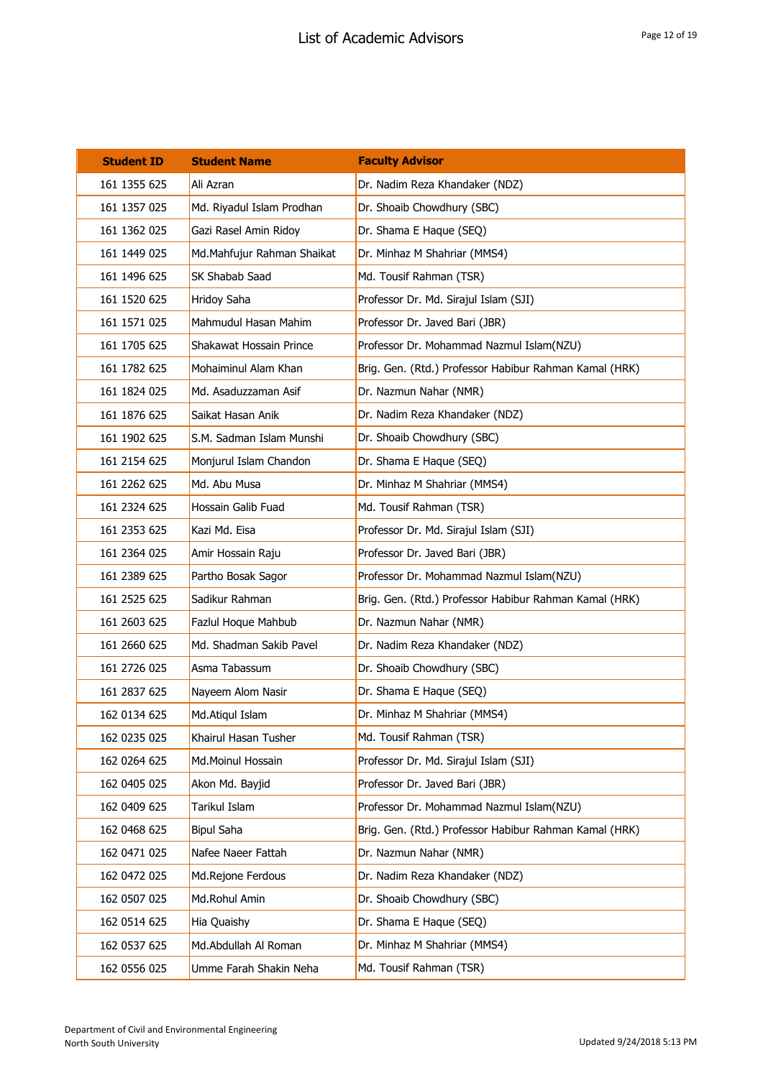| <b>Student ID</b> | <b>Student Name</b>        | <b>Faculty Advisor</b>                                 |
|-------------------|----------------------------|--------------------------------------------------------|
| 161 1355 625      | Ali Azran                  | Dr. Nadim Reza Khandaker (NDZ)                         |
| 161 1357 025      | Md. Riyadul Islam Prodhan  | Dr. Shoaib Chowdhury (SBC)                             |
| 161 1362 025      | Gazi Rasel Amin Ridoy      | Dr. Shama E Haque (SEQ)                                |
| 161 1449 025      | Md.Mahfujur Rahman Shaikat | Dr. Minhaz M Shahriar (MMS4)                           |
| 161 1496 625      | SK Shabab Saad             | Md. Tousif Rahman (TSR)                                |
| 161 1520 625      | Hridoy Saha                | Professor Dr. Md. Sirajul Islam (SJI)                  |
| 161 1571 025      | Mahmudul Hasan Mahim       | Professor Dr. Javed Bari (JBR)                         |
| 161 1705 625      | Shakawat Hossain Prince    | Professor Dr. Mohammad Nazmul Islam(NZU)               |
| 161 1782 625      | Mohaiminul Alam Khan       | Brig. Gen. (Rtd.) Professor Habibur Rahman Kamal (HRK) |
| 161 1824 025      | Md. Asaduzzaman Asif       | Dr. Nazmun Nahar (NMR)                                 |
| 161 1876 625      | Saikat Hasan Anik          | Dr. Nadim Reza Khandaker (NDZ)                         |
| 161 1902 625      | S.M. Sadman Islam Munshi   | Dr. Shoaib Chowdhury (SBC)                             |
| 161 2154 625      | Monjurul Islam Chandon     | Dr. Shama E Haque (SEQ)                                |
| 161 2262 625      | Md. Abu Musa               | Dr. Minhaz M Shahriar (MMS4)                           |
| 161 2324 625      | Hossain Galib Fuad         | Md. Tousif Rahman (TSR)                                |
| 161 2353 625      | Kazi Md. Eisa              | Professor Dr. Md. Sirajul Islam (SJI)                  |
| 161 2364 025      | Amir Hossain Raju          | Professor Dr. Javed Bari (JBR)                         |
| 161 2389 625      | Partho Bosak Sagor         | Professor Dr. Mohammad Nazmul Islam(NZU)               |
| 161 2525 625      | Sadikur Rahman             | Brig. Gen. (Rtd.) Professor Habibur Rahman Kamal (HRK) |
| 161 2603 625      | Fazlul Hoque Mahbub        | Dr. Nazmun Nahar (NMR)                                 |
| 161 2660 625      | Md. Shadman Sakib Pavel    | Dr. Nadim Reza Khandaker (NDZ)                         |
| 161 2726 025      | Asma Tabassum              | Dr. Shoaib Chowdhury (SBC)                             |
| 161 2837 625      | Nayeem Alom Nasir          | Dr. Shama E Haque (SEQ)                                |
| 162 0134 625      | Md.Atiqul Islam            | Dr. Minhaz M Shahriar (MMS4)                           |
| 162 0235 025      | Khairul Hasan Tusher       | Md. Tousif Rahman (TSR)                                |
| 162 0264 625      | Md.Moinul Hossain          | Professor Dr. Md. Sirajul Islam (SJI)                  |
| 162 0405 025      | Akon Md. Bayjid            | Professor Dr. Javed Bari (JBR)                         |
| 162 0409 625      | Tarikul Islam              | Professor Dr. Mohammad Nazmul Islam(NZU)               |
| 162 0468 625      | <b>Bipul Saha</b>          | Brig. Gen. (Rtd.) Professor Habibur Rahman Kamal (HRK) |
| 162 0471 025      | Nafee Naeer Fattah         | Dr. Nazmun Nahar (NMR)                                 |
| 162 0472 025      | Md.Rejone Ferdous          | Dr. Nadim Reza Khandaker (NDZ)                         |
| 162 0507 025      | Md.Rohul Amin              | Dr. Shoaib Chowdhury (SBC)                             |
| 162 0514 625      | Hia Quaishy                | Dr. Shama E Haque (SEQ)                                |
| 162 0537 625      | Md.Abdullah Al Roman       | Dr. Minhaz M Shahriar (MMS4)                           |
| 162 0556 025      | Umme Farah Shakin Neha     | Md. Tousif Rahman (TSR)                                |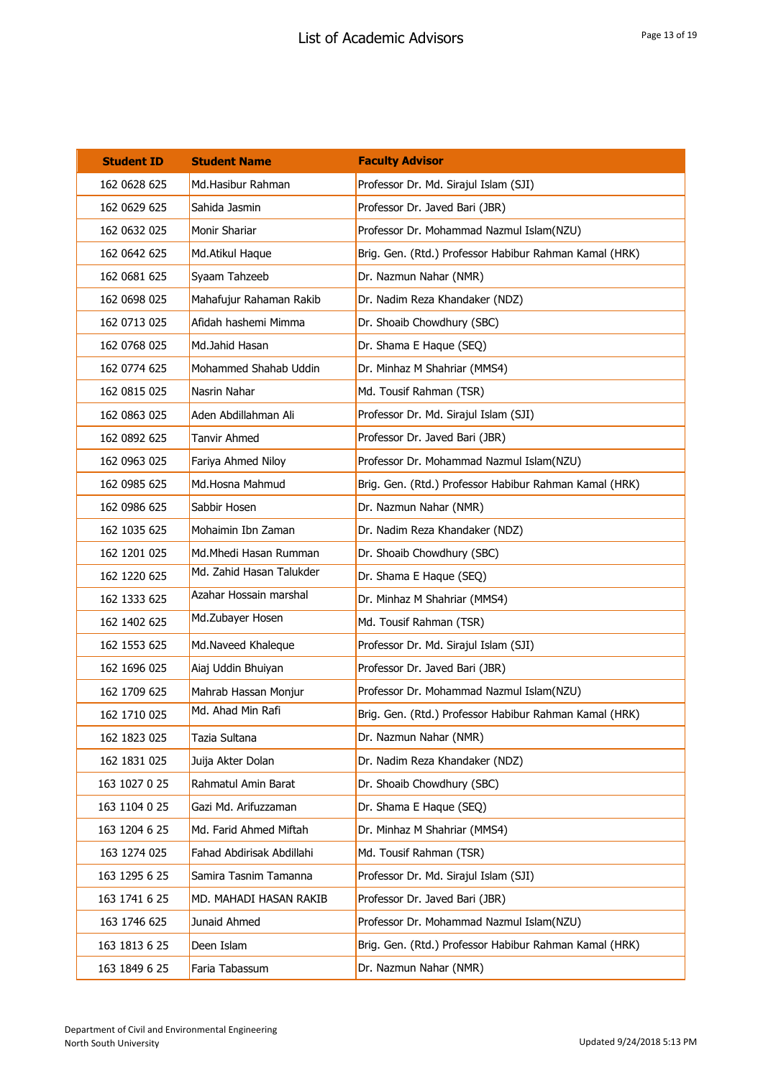| <b>Student ID</b> | <b>Student Name</b>       | <b>Faculty Advisor</b>                                 |
|-------------------|---------------------------|--------------------------------------------------------|
| 162 0628 625      | Md.Hasibur Rahman         | Professor Dr. Md. Sirajul Islam (SJI)                  |
| 162 0629 625      | Sahida Jasmin             | Professor Dr. Javed Bari (JBR)                         |
| 162 0632 025      | Monir Shariar             | Professor Dr. Mohammad Nazmul Islam(NZU)               |
| 162 0642 625      | Md.Atikul Haque           | Brig. Gen. (Rtd.) Professor Habibur Rahman Kamal (HRK) |
| 162 0681 625      | Syaam Tahzeeb             | Dr. Nazmun Nahar (NMR)                                 |
| 162 0698 025      | Mahafujur Rahaman Rakib   | Dr. Nadim Reza Khandaker (NDZ)                         |
| 162 0713 025      | Afidah hashemi Mimma      | Dr. Shoaib Chowdhury (SBC)                             |
| 162 0768 025      | Md.Jahid Hasan            | Dr. Shama E Haque (SEQ)                                |
| 162 0774 625      | Mohammed Shahab Uddin     | Dr. Minhaz M Shahriar (MMS4)                           |
| 162 0815 025      | Nasrin Nahar              | Md. Tousif Rahman (TSR)                                |
| 162 0863 025      | Aden Abdillahman Ali      | Professor Dr. Md. Sirajul Islam (SJI)                  |
| 162 0892 625      | <b>Tanvir Ahmed</b>       | Professor Dr. Javed Bari (JBR)                         |
| 162 0963 025      | Fariya Ahmed Niloy        | Professor Dr. Mohammad Nazmul Islam(NZU)               |
| 162 0985 625      | Md.Hosna Mahmud           | Brig. Gen. (Rtd.) Professor Habibur Rahman Kamal (HRK) |
| 162 0986 625      | Sabbir Hosen              | Dr. Nazmun Nahar (NMR)                                 |
| 162 1035 625      | Mohaimin Ibn Zaman        | Dr. Nadim Reza Khandaker (NDZ)                         |
| 162 1201 025      | Md.Mhedi Hasan Rumman     | Dr. Shoaib Chowdhury (SBC)                             |
| 162 1220 625      | Md. Zahid Hasan Talukder  | Dr. Shama E Haque (SEQ)                                |
| 162 1333 625      | Azahar Hossain marshal    | Dr. Minhaz M Shahriar (MMS4)                           |
| 162 1402 625      | Md.Zubayer Hosen          | Md. Tousif Rahman (TSR)                                |
| 162 1553 625      | Md.Naveed Khaleque        | Professor Dr. Md. Sirajul Islam (SJI)                  |
| 162 1696 025      | Aiaj Uddin Bhuiyan        | Professor Dr. Javed Bari (JBR)                         |
| 162 1709 625      | Mahrab Hassan Monjur      | Professor Dr. Mohammad Nazmul Islam(NZU)               |
| 162 1710 025      | Md. Ahad Min Rafi         | Brig. Gen. (Rtd.) Professor Habibur Rahman Kamal (HRK) |
| 162 1823 025      | Tazia Sultana             | Dr. Nazmun Nahar (NMR)                                 |
| 162 1831 025      | Juija Akter Dolan         | Dr. Nadim Reza Khandaker (NDZ)                         |
| 163 1027 0 25     | Rahmatul Amin Barat       | Dr. Shoaib Chowdhury (SBC)                             |
| 163 1104 0 25     | Gazi Md. Arifuzzaman      | Dr. Shama E Haque (SEQ)                                |
| 163 1204 6 25     | Md. Farid Ahmed Miftah    | Dr. Minhaz M Shahriar (MMS4)                           |
| 163 1274 025      | Fahad Abdirisak Abdillahi | Md. Tousif Rahman (TSR)                                |
| 163 1295 6 25     | Samira Tasnim Tamanna     | Professor Dr. Md. Sirajul Islam (SJI)                  |
| 163 1741 6 25     | MD. MAHADI HASAN RAKIB    | Professor Dr. Javed Bari (JBR)                         |
| 163 1746 625      | Junaid Ahmed              | Professor Dr. Mohammad Nazmul Islam(NZU)               |
| 163 1813 6 25     | Deen Islam                | Brig. Gen. (Rtd.) Professor Habibur Rahman Kamal (HRK) |
| 163 1849 6 25     | Faria Tabassum            | Dr. Nazmun Nahar (NMR)                                 |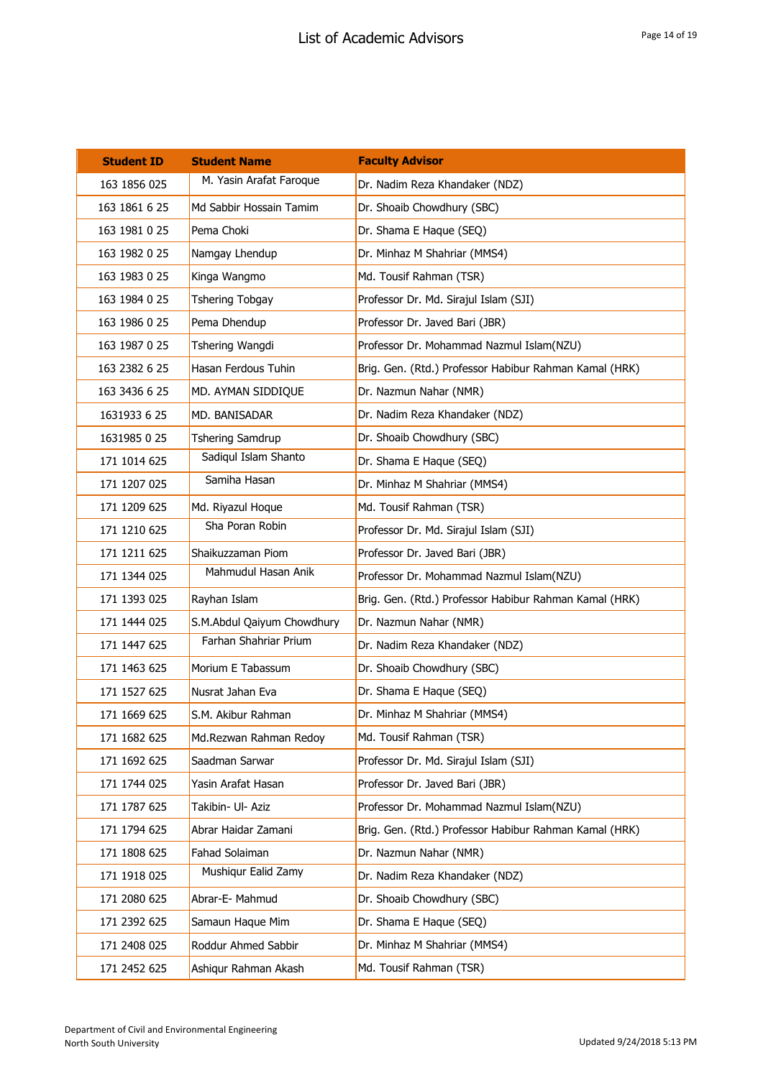| <b>Student ID</b> | <b>Student Name</b>        | <b>Faculty Advisor</b>                                 |
|-------------------|----------------------------|--------------------------------------------------------|
| 163 1856 025      | M. Yasin Arafat Faroque    | Dr. Nadim Reza Khandaker (NDZ)                         |
| 163 1861 6 25     | Md Sabbir Hossain Tamim    | Dr. Shoaib Chowdhury (SBC)                             |
| 163 1981 0 25     | Pema Choki                 | Dr. Shama E Haque (SEQ)                                |
| 163 1982 0 25     | Namgay Lhendup             | Dr. Minhaz M Shahriar (MMS4)                           |
| 163 1983 0 25     | Kinga Wangmo               | Md. Tousif Rahman (TSR)                                |
| 163 1984 0 25     | Tshering Tobgay            | Professor Dr. Md. Sirajul Islam (SJI)                  |
| 163 1986 0 25     | Pema Dhendup               | Professor Dr. Javed Bari (JBR)                         |
| 163 1987 0 25     | Tshering Wangdi            | Professor Dr. Mohammad Nazmul Islam(NZU)               |
| 163 2382 6 25     | Hasan Ferdous Tuhin        | Brig. Gen. (Rtd.) Professor Habibur Rahman Kamal (HRK) |
| 163 3436 6 25     | MD. AYMAN SIDDIQUE         | Dr. Nazmun Nahar (NMR)                                 |
| 1631933 6 25      | MD. BANISADAR              | Dr. Nadim Reza Khandaker (NDZ)                         |
| 1631985 0 25      | <b>Tshering Samdrup</b>    | Dr. Shoaib Chowdhury (SBC)                             |
| 171 1014 625      | Sadiqul Islam Shanto       | Dr. Shama E Haque (SEQ)                                |
| 171 1207 025      | Samiha Hasan               | Dr. Minhaz M Shahriar (MMS4)                           |
| 171 1209 625      | Md. Riyazul Hoque          | Md. Tousif Rahman (TSR)                                |
| 171 1210 625      | Sha Poran Robin            | Professor Dr. Md. Sirajul Islam (SJI)                  |
| 171 1211 625      | Shaikuzzaman Piom          | Professor Dr. Javed Bari (JBR)                         |
| 171 1344 025      | Mahmudul Hasan Anik        | Professor Dr. Mohammad Nazmul Islam(NZU)               |
| 171 1393 025      | Rayhan Islam               | Brig. Gen. (Rtd.) Professor Habibur Rahman Kamal (HRK) |
| 171 1444 025      | S.M.Abdul Qaiyum Chowdhury | Dr. Nazmun Nahar (NMR)                                 |
| 171 1447 625      | Farhan Shahriar Prium      | Dr. Nadim Reza Khandaker (NDZ)                         |
| 171 1463 625      | Morium E Tabassum          | Dr. Shoaib Chowdhury (SBC)                             |
| 171 1527 625      | Nusrat Jahan Eva           | Dr. Shama E Haque (SEQ)                                |
| 171 1669 625      | S.M. Akibur Rahman         | Dr. Minhaz M Shahriar (MMS4)                           |
| 171 1682 625      | Md.Rezwan Rahman Redoy     | Md. Tousif Rahman (TSR)                                |
| 171 1692 625      | Saadman Sarwar             | Professor Dr. Md. Sirajul Islam (SJI)                  |
| 171 1744 025      | Yasin Arafat Hasan         | Professor Dr. Javed Bari (JBR)                         |
| 171 1787 625      | Takibin- Ul- Aziz          | Professor Dr. Mohammad Nazmul Islam(NZU)               |
| 171 1794 625      | Abrar Haidar Zamani        | Brig. Gen. (Rtd.) Professor Habibur Rahman Kamal (HRK) |
| 171 1808 625      | Fahad Solaiman             | Dr. Nazmun Nahar (NMR)                                 |
| 171 1918 025      | Mushiqur Ealid Zamy        | Dr. Nadim Reza Khandaker (NDZ)                         |
| 171 2080 625      | Abrar-E- Mahmud            | Dr. Shoaib Chowdhury (SBC)                             |
| 171 2392 625      | Samaun Haque Mim           | Dr. Shama E Haque (SEQ)                                |
| 171 2408 025      | Roddur Ahmed Sabbir        | Dr. Minhaz M Shahriar (MMS4)                           |
| 171 2452 625      | Ashiqur Rahman Akash       | Md. Tousif Rahman (TSR)                                |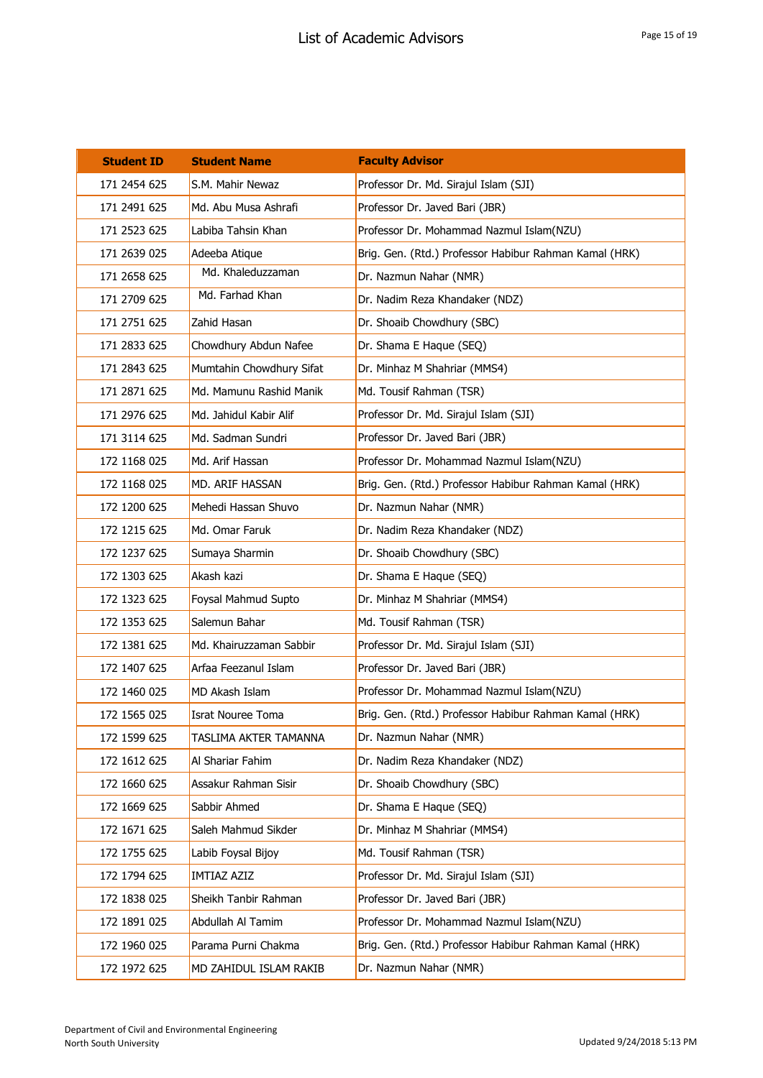| <b>Student ID</b> | <b>Student Name</b>      | <b>Faculty Advisor</b>                                 |
|-------------------|--------------------------|--------------------------------------------------------|
| 171 2454 625      | S.M. Mahir Newaz         | Professor Dr. Md. Sirajul Islam (SJI)                  |
| 171 2491 625      | Md. Abu Musa Ashrafi     | Professor Dr. Javed Bari (JBR)                         |
| 171 2523 625      | Labiba Tahsin Khan       | Professor Dr. Mohammad Nazmul Islam(NZU)               |
| 171 2639 025      | Adeeba Atique            | Brig. Gen. (Rtd.) Professor Habibur Rahman Kamal (HRK) |
| 171 2658 625      | Md. Khaleduzzaman        | Dr. Nazmun Nahar (NMR)                                 |
| 171 2709 625      | Md. Farhad Khan          | Dr. Nadim Reza Khandaker (NDZ)                         |
| 171 2751 625      | Zahid Hasan              | Dr. Shoaib Chowdhury (SBC)                             |
| 171 2833 625      | Chowdhury Abdun Nafee    | Dr. Shama E Haque (SEQ)                                |
| 171 2843 625      | Mumtahin Chowdhury Sifat | Dr. Minhaz M Shahriar (MMS4)                           |
| 171 2871 625      | Md. Mamunu Rashid Manik  | Md. Tousif Rahman (TSR)                                |
| 171 2976 625      | Md. Jahidul Kabir Alif   | Professor Dr. Md. Sirajul Islam (SJI)                  |
| 171 3114 625      | Md. Sadman Sundri        | Professor Dr. Javed Bari (JBR)                         |
| 172 1168 025      | Md. Arif Hassan          | Professor Dr. Mohammad Nazmul Islam(NZU)               |
| 172 1168 025      | MD. ARIF HASSAN          | Brig. Gen. (Rtd.) Professor Habibur Rahman Kamal (HRK) |
| 172 1200 625      | Mehedi Hassan Shuvo      | Dr. Nazmun Nahar (NMR)                                 |
| 172 1215 625      | Md. Omar Faruk           | Dr. Nadim Reza Khandaker (NDZ)                         |
| 172 1237 625      | Sumaya Sharmin           | Dr. Shoaib Chowdhury (SBC)                             |
| 172 1303 625      | Akash kazi               | Dr. Shama E Haque (SEQ)                                |
| 172 1323 625      | Foysal Mahmud Supto      | Dr. Minhaz M Shahriar (MMS4)                           |
| 172 1353 625      | Salemun Bahar            | Md. Tousif Rahman (TSR)                                |
| 172 1381 625      | Md. Khairuzzaman Sabbir  | Professor Dr. Md. Sirajul Islam (SJI)                  |
| 172 1407 625      | Arfaa Feezanul Islam     | Professor Dr. Javed Bari (JBR)                         |
| 172 1460 025      | MD Akash Islam           | Professor Dr. Mohammad Nazmul Islam(NZU)               |
| 172 1565 025      | Israt Nouree Toma        | Brig. Gen. (Rtd.) Professor Habibur Rahman Kamal (HRK) |
| 172 1599 625      | TASLIMA AKTER TAMANNA    | Dr. Nazmun Nahar (NMR)                                 |
| 172 1612 625      | Al Shariar Fahim         | Dr. Nadim Reza Khandaker (NDZ)                         |
| 172 1660 625      | Assakur Rahman Sisir     | Dr. Shoaib Chowdhury (SBC)                             |
| 172 1669 625      | Sabbir Ahmed             | Dr. Shama E Haque (SEQ)                                |
| 172 1671 625      | Saleh Mahmud Sikder      | Dr. Minhaz M Shahriar (MMS4)                           |
| 172 1755 625      | Labib Foysal Bijoy       | Md. Tousif Rahman (TSR)                                |
| 172 1794 625      | <b>IMTIAZ AZIZ</b>       | Professor Dr. Md. Sirajul Islam (SJI)                  |
| 172 1838 025      | Sheikh Tanbir Rahman     | Professor Dr. Javed Bari (JBR)                         |
| 172 1891 025      | Abdullah Al Tamim        | Professor Dr. Mohammad Nazmul Islam(NZU)               |
| 172 1960 025      | Parama Purni Chakma      | Brig. Gen. (Rtd.) Professor Habibur Rahman Kamal (HRK) |
| 172 1972 625      | MD ZAHIDUL ISLAM RAKIB   | Dr. Nazmun Nahar (NMR)                                 |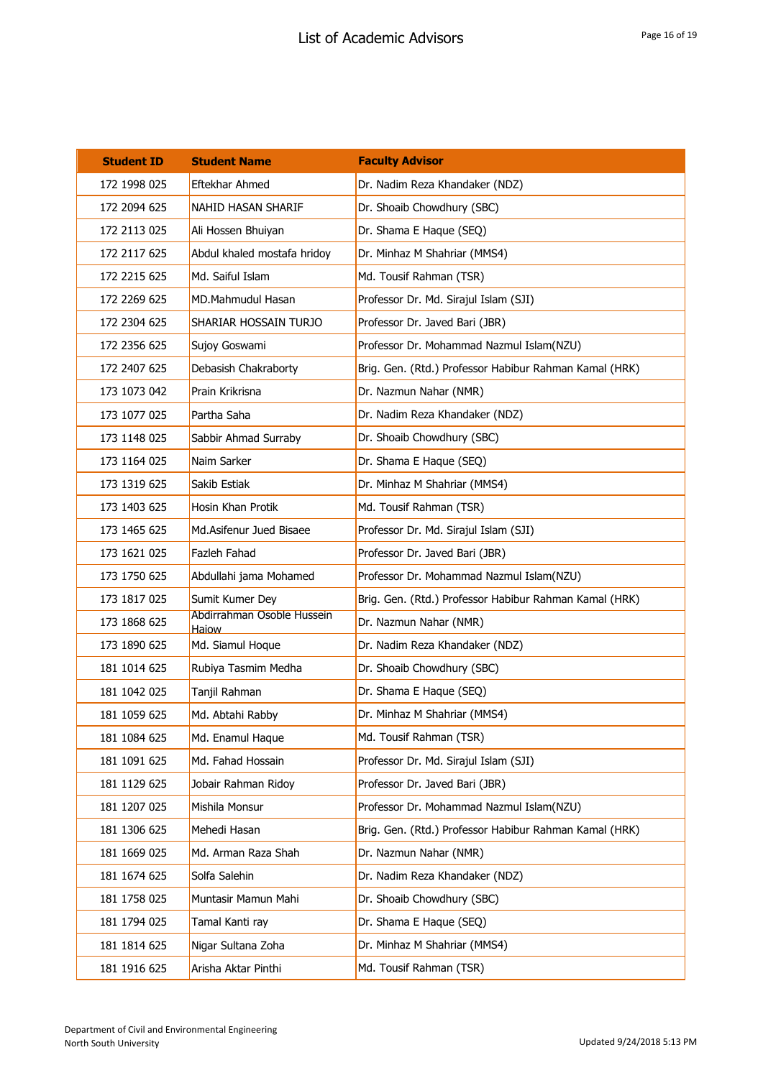| <b>Student ID</b> | <b>Student Name</b>                 | <b>Faculty Advisor</b>                                 |
|-------------------|-------------------------------------|--------------------------------------------------------|
| 172 1998 025      | Eftekhar Ahmed                      | Dr. Nadim Reza Khandaker (NDZ)                         |
| 172 2094 625      | NAHID HASAN SHARIF                  | Dr. Shoaib Chowdhury (SBC)                             |
| 172 2113 025      | Ali Hossen Bhuiyan                  | Dr. Shama E Haque (SEQ)                                |
| 172 2117 625      | Abdul khaled mostafa hridoy         | Dr. Minhaz M Shahriar (MMS4)                           |
| 172 2215 625      | Md. Saiful Islam                    | Md. Tousif Rahman (TSR)                                |
| 172 2269 625      | <b>MD.Mahmudul Hasan</b>            | Professor Dr. Md. Sirajul Islam (SJI)                  |
| 172 2304 625      | SHARIAR HOSSAIN TURJO               | Professor Dr. Javed Bari (JBR)                         |
| 172 2356 625      | Sujoy Goswami                       | Professor Dr. Mohammad Nazmul Islam(NZU)               |
| 172 2407 625      | Debasish Chakraborty                | Brig. Gen. (Rtd.) Professor Habibur Rahman Kamal (HRK) |
| 173 1073 042      | Prain Krikrisna                     | Dr. Nazmun Nahar (NMR)                                 |
| 173 1077 025      | Partha Saha                         | Dr. Nadim Reza Khandaker (NDZ)                         |
| 173 1148 025      | Sabbir Ahmad Surraby                | Dr. Shoaib Chowdhury (SBC)                             |
| 173 1164 025      | Naim Sarker                         | Dr. Shama E Haque (SEQ)                                |
| 173 1319 625      | Sakib Estiak                        | Dr. Minhaz M Shahriar (MMS4)                           |
| 173 1403 625      | Hosin Khan Protik                   | Md. Tousif Rahman (TSR)                                |
| 173 1465 625      | Md.Asifenur Jued Bisaee             | Professor Dr. Md. Sirajul Islam (SJI)                  |
| 173 1621 025      | Fazleh Fahad                        | Professor Dr. Javed Bari (JBR)                         |
| 173 1750 625      | Abdullahi jama Mohamed              | Professor Dr. Mohammad Nazmul Islam(NZU)               |
| 173 1817 025      | Sumit Kumer Dey                     | Brig. Gen. (Rtd.) Professor Habibur Rahman Kamal (HRK) |
| 173 1868 625      | Abdirrahman Osoble Hussein<br>Haiow | Dr. Nazmun Nahar (NMR)                                 |
| 173 1890 625      | Md. Siamul Hoque                    | Dr. Nadim Reza Khandaker (NDZ)                         |
| 181 1014 625      | Rubiya Tasmim Medha                 | Dr. Shoaib Chowdhury (SBC)                             |
| 181 1042 025      | Tanjil Rahman                       | Dr. Shama E Haque (SEQ)                                |
| 181 1059 625      | Md. Abtahi Rabby                    | Dr. Minhaz M Shahriar (MMS4)                           |
| 181 1084 625      | Md. Enamul Haque                    | Md. Tousif Rahman (TSR)                                |
| 181 1091 625      | Md. Fahad Hossain                   | Professor Dr. Md. Sirajul Islam (SJI)                  |
| 181 1129 625      | Jobair Rahman Ridoy                 | Professor Dr. Javed Bari (JBR)                         |
| 181 1207 025      | Mishila Monsur                      | Professor Dr. Mohammad Nazmul Islam(NZU)               |
| 181 1306 625      | Mehedi Hasan                        | Brig. Gen. (Rtd.) Professor Habibur Rahman Kamal (HRK) |
| 181 1669 025      | Md. Arman Raza Shah                 | Dr. Nazmun Nahar (NMR)                                 |
| 181 1674 625      | Solfa Salehin                       | Dr. Nadim Reza Khandaker (NDZ)                         |
| 181 1758 025      | Muntasir Mamun Mahi                 | Dr. Shoaib Chowdhury (SBC)                             |
| 181 1794 025      | Tamal Kanti ray                     | Dr. Shama E Haque (SEQ)                                |
| 181 1814 625      | Nigar Sultana Zoha                  | Dr. Minhaz M Shahriar (MMS4)                           |
| 181 1916 625      | Arisha Aktar Pinthi                 | Md. Tousif Rahman (TSR)                                |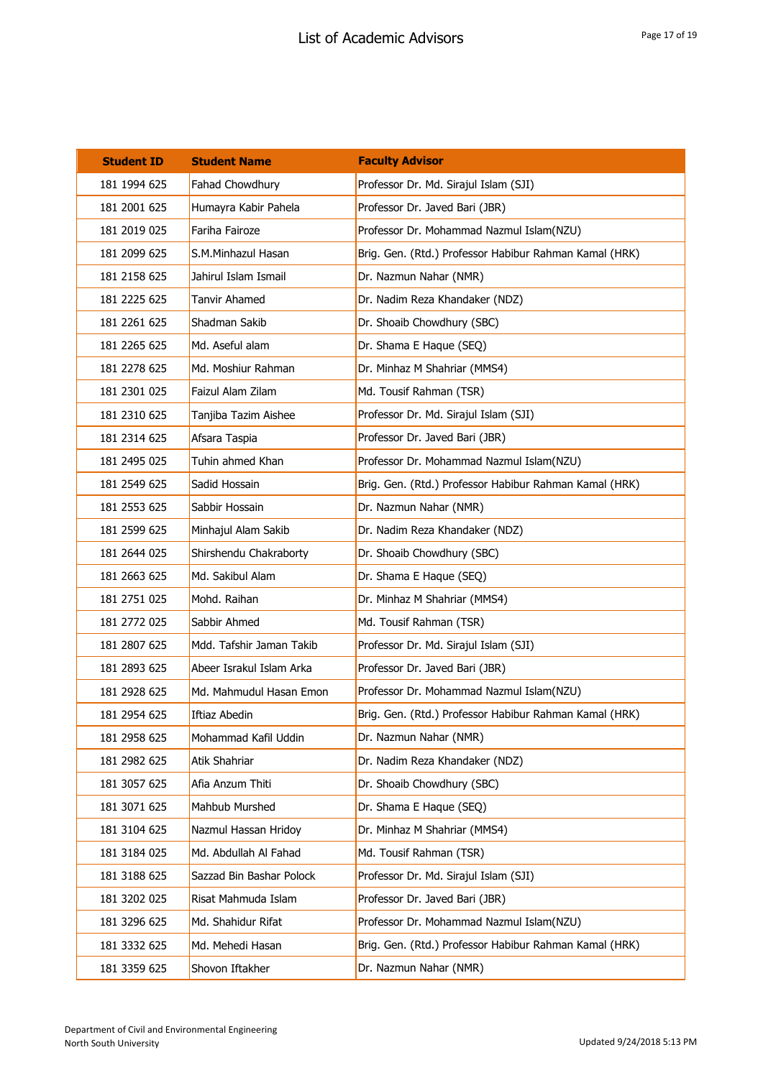| <b>Student ID</b> | <b>Student Name</b>      | <b>Faculty Advisor</b>                                 |
|-------------------|--------------------------|--------------------------------------------------------|
| 181 1994 625      | Fahad Chowdhury          | Professor Dr. Md. Sirajul Islam (SJI)                  |
| 181 2001 625      | Humayra Kabir Pahela     | Professor Dr. Javed Bari (JBR)                         |
| 181 2019 025      | Fariha Fairoze           | Professor Dr. Mohammad Nazmul Islam(NZU)               |
| 181 2099 625      | S.M.Minhazul Hasan       | Brig. Gen. (Rtd.) Professor Habibur Rahman Kamal (HRK) |
| 181 2158 625      | Jahirul Islam Ismail     | Dr. Nazmun Nahar (NMR)                                 |
| 181 2225 625      | <b>Tanvir Ahamed</b>     | Dr. Nadim Reza Khandaker (NDZ)                         |
| 181 2261 625      | Shadman Sakib            | Dr. Shoaib Chowdhury (SBC)                             |
| 181 2265 625      | Md. Aseful alam          | Dr. Shama E Haque (SEQ)                                |
| 181 2278 625      | Md. Moshiur Rahman       | Dr. Minhaz M Shahriar (MMS4)                           |
| 181 2301 025      | Faizul Alam Zilam        | Md. Tousif Rahman (TSR)                                |
| 181 2310 625      | Tanjiba Tazim Aishee     | Professor Dr. Md. Sirajul Islam (SJI)                  |
| 181 2314 625      | Afsara Taspia            | Professor Dr. Javed Bari (JBR)                         |
| 181 2495 025      | Tuhin ahmed Khan         | Professor Dr. Mohammad Nazmul Islam(NZU)               |
| 181 2549 625      | Sadid Hossain            | Brig. Gen. (Rtd.) Professor Habibur Rahman Kamal (HRK) |
| 181 2553 625      | Sabbir Hossain           | Dr. Nazmun Nahar (NMR)                                 |
| 181 2599 625      | Minhajul Alam Sakib      | Dr. Nadim Reza Khandaker (NDZ)                         |
| 181 2644 025      | Shirshendu Chakraborty   | Dr. Shoaib Chowdhury (SBC)                             |
| 181 2663 625      | Md. Sakibul Alam         | Dr. Shama E Haque (SEQ)                                |
| 181 2751 025      | Mohd. Raihan             | Dr. Minhaz M Shahriar (MMS4)                           |
| 181 2772 025      | Sabbir Ahmed             | Md. Tousif Rahman (TSR)                                |
| 181 2807 625      | Mdd. Tafshir Jaman Takib | Professor Dr. Md. Sirajul Islam (SJI)                  |
| 181 2893 625      | Abeer Israkul Islam Arka | Professor Dr. Javed Bari (JBR)                         |
| 181 2928 625      | Md. Mahmudul Hasan Emon  | Professor Dr. Mohammad Nazmul Islam(NZU)               |
| 181 2954 625      | Iftiaz Abedin            | Brig. Gen. (Rtd.) Professor Habibur Rahman Kamal (HRK) |
| 181 2958 625      | Mohammad Kafil Uddin     | Dr. Nazmun Nahar (NMR)                                 |
| 181 2982 625      | Atik Shahriar            | Dr. Nadim Reza Khandaker (NDZ)                         |
| 181 3057 625      | Afia Anzum Thiti         | Dr. Shoaib Chowdhury (SBC)                             |
| 181 3071 625      | Mahbub Murshed           | Dr. Shama E Haque (SEQ)                                |
| 181 3104 625      | Nazmul Hassan Hridoy     | Dr. Minhaz M Shahriar (MMS4)                           |
| 181 3184 025      | Md. Abdullah Al Fahad    | Md. Tousif Rahman (TSR)                                |
| 181 3188 625      | Sazzad Bin Bashar Polock | Professor Dr. Md. Sirajul Islam (SJI)                  |
| 181 3202 025      | Risat Mahmuda Islam      | Professor Dr. Javed Bari (JBR)                         |
| 181 3296 625      | Md. Shahidur Rifat       | Professor Dr. Mohammad Nazmul Islam(NZU)               |
| 181 3332 625      | Md. Mehedi Hasan         | Brig. Gen. (Rtd.) Professor Habibur Rahman Kamal (HRK) |
| 181 3359 625      | Shovon Iftakher          | Dr. Nazmun Nahar (NMR)                                 |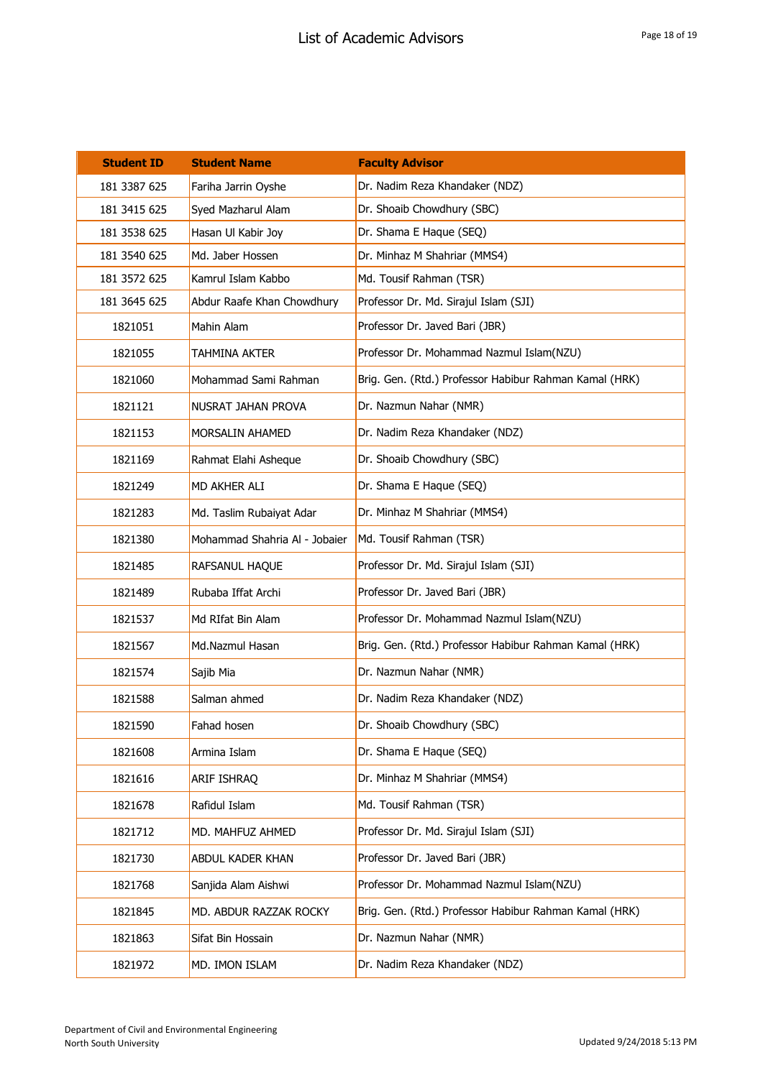| <b>Student ID</b> | <b>Student Name</b>           | <b>Faculty Advisor</b>                                 |
|-------------------|-------------------------------|--------------------------------------------------------|
| 181 3387 625      | Fariha Jarrin Oyshe           | Dr. Nadim Reza Khandaker (NDZ)                         |
| 181 3415 625      | Syed Mazharul Alam            | Dr. Shoaib Chowdhury (SBC)                             |
| 181 3538 625      | Hasan Ul Kabir Joy            | Dr. Shama E Haque (SEQ)                                |
| 181 3540 625      | Md. Jaber Hossen              | Dr. Minhaz M Shahriar (MMS4)                           |
| 181 3572 625      | Kamrul Islam Kabbo            | Md. Tousif Rahman (TSR)                                |
| 181 3645 625      | Abdur Raafe Khan Chowdhury    | Professor Dr. Md. Sirajul Islam (SJI)                  |
| 1821051           | Mahin Alam                    | Professor Dr. Javed Bari (JBR)                         |
| 1821055           | TAHMINA AKTER                 | Professor Dr. Mohammad Nazmul Islam(NZU)               |
| 1821060           | Mohammad Sami Rahman          | Brig. Gen. (Rtd.) Professor Habibur Rahman Kamal (HRK) |
| 1821121           | NUSRAT JAHAN PROVA            | Dr. Nazmun Nahar (NMR)                                 |
| 1821153           | MORSALIN AHAMED               | Dr. Nadim Reza Khandaker (NDZ)                         |
| 1821169           | Rahmat Elahi Asheque          | Dr. Shoaib Chowdhury (SBC)                             |
| 1821249           | MD AKHER ALI                  | Dr. Shama E Haque (SEQ)                                |
| 1821283           | Md. Taslim Rubaiyat Adar      | Dr. Minhaz M Shahriar (MMS4)                           |
| 1821380           | Mohammad Shahria Al - Jobaier | Md. Tousif Rahman (TSR)                                |
| 1821485           | RAFSANUL HAQUE                | Professor Dr. Md. Sirajul Islam (SJI)                  |
| 1821489           | Rubaba Iffat Archi            | Professor Dr. Javed Bari (JBR)                         |
| 1821537           | Md RIfat Bin Alam             | Professor Dr. Mohammad Nazmul Islam(NZU)               |
| 1821567           | Md.Nazmul Hasan               | Brig. Gen. (Rtd.) Professor Habibur Rahman Kamal (HRK) |
| 1821574           | Sajib Mia                     | Dr. Nazmun Nahar (NMR)                                 |
| 1821588           | Salman ahmed                  | Dr. Nadim Reza Khandaker (NDZ)                         |
| 1821590           | Fahad hosen                   | Dr. Shoaib Chowdhury (SBC)                             |
| 1821608           | Armina Islam                  | Dr. Shama E Haque (SEQ)                                |
| 1821616           | ARIF ISHRAQ                   | Dr. Minhaz M Shahriar (MMS4)                           |
| 1821678           | Rafidul Islam                 | Md. Tousif Rahman (TSR)                                |
| 1821712           | MD. MAHFUZ AHMED              | Professor Dr. Md. Sirajul Islam (SJI)                  |
| 1821730           | ABDUL KADER KHAN              | Professor Dr. Javed Bari (JBR)                         |
| 1821768           | Sanjida Alam Aishwi           | Professor Dr. Mohammad Nazmul Islam(NZU)               |
| 1821845           | MD. ABDUR RAZZAK ROCKY        | Brig. Gen. (Rtd.) Professor Habibur Rahman Kamal (HRK) |
| 1821863           | Sifat Bin Hossain             | Dr. Nazmun Nahar (NMR)                                 |
| 1821972           | MD. IMON ISLAM                | Dr. Nadim Reza Khandaker (NDZ)                         |